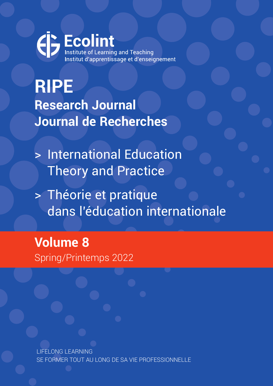Ecolint Institut d'apprentissage et d'enseignement

**RIPE Research Journal Journal de Recherches**

> International Education Theory and Practice

> Théorie et pratique dans l'éducation internationale

**Volume 8**  Spring/Printemps 2022

LIFELONG LEARNING SE FORMER TOUT AU LONG DE SA VIE PROFESSIONNELLE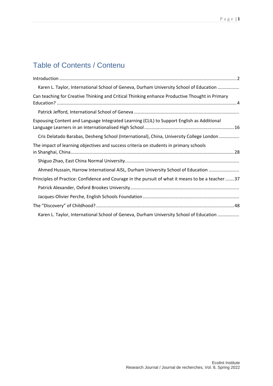# Table of Contents / Contenu

| Karen L. Taylor, International School of Geneva, Durham University School of Education             |  |
|----------------------------------------------------------------------------------------------------|--|
| Can teaching for Creative Thinking and Critical Thinking enhance Productive Thought in Primary     |  |
|                                                                                                    |  |
| Espousing Content and Language Integrated Learning (CLIL) to Support English as Additional         |  |
| Cris Delatado Barabas, Desheng School (International), China, University College London            |  |
| The impact of learning objectives and success criteria on students in primary schools              |  |
|                                                                                                    |  |
| Ahmed Hussain, Harrow International AISL, Durham University School of Education                    |  |
| Principles of Practice: Confidence and Courage in the pursuit of what it means to be a teacher  37 |  |
|                                                                                                    |  |
|                                                                                                    |  |
|                                                                                                    |  |
| Karen L. Taylor, International School of Geneva, Durham University School of Education             |  |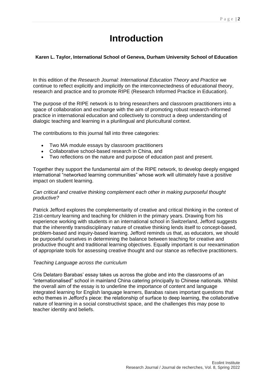# **Introduction**

### <span id="page-2-1"></span><span id="page-2-0"></span>**Karen L. Taylor, International School of Geneva, Durham University School of Education**

In this edition of the *Research Journal: International Education Theory and Practice* we continue to reflect explicitly and implicitly on the interconnectedness of educational theory, research and practice and to promote RIPE (Research Informed Practice in Education).

The purpose of the RIPE network is to bring researchers and classroom practitioners into a space of collaboration and exchange with the aim of promoting robust research-informed practice in international education and collectively to construct a deep understanding of dialogic teaching and learning in a plurilingual and pluricultural context.

The contributions to this journal fall into three categories:

- Two MA module essays by classroom practitioners
- Collaborative school-based research in China, and
- Two reflections on the nature and purpose of education past and present.

Together they support the fundamental aim of the RIPE network, to develop deeply engaged international "networked learning communities" whose work will ultimately have a positive impact on student learning.

#### *Can critical and creative thinking complement each other in making purposeful thought productive?*

Patrick Jefford explores the complementarity of creative and critical thinking in the context of 21st-century learning and teaching for children in the primary years. Drawing from his experience working with students in an international school in Switzerland, Jefford suggests that the inherently transdisciplinary nature of creative thinking lends itself to concept-based, problem-based and inquiry-based learning. Jefford reminds us that, as educators, we should be purposeful ourselves in determining the balance between teaching for creative and productive thought and traditional learning objectives. Equally important is our reexamination of appropriate tools for assessing creative thought and our stance as reflective practitioners.

#### *Teaching Language across the curriculum*

Cris Delataro Barabas' essay takes us across the globe and into the classrooms of an "internationalised" school in mainland China catering principally to Chinese nationals. Whilst the overall aim of the essay is to underline the importance of content and language integrated learning for English language learners, Barabas raises important questions that echo themes in Jefford's piece: the relationship of surface to deep learning, the collaborative nature of learning in a social constructivist space, and the challenges this may pose to teacher identity and beliefs.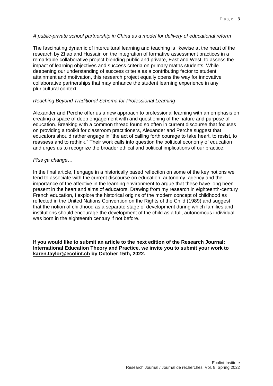#### *A public-private school partnership in China as a model for delivery of educational reform*

The fascinating dynamic of intercultural learning and teaching is likewise at the heart of the research by Zhao and Hussain on the integration of formative assessment practices in a remarkable collaborative project blending public and private, East and West, to assess the impact of learning objectives and success criteria on primary maths students. While deepening our understanding of success criteria as a contributing factor to student attainment and motivation, this research project equally opens the way for innovative collaborative partnerships that may enhance the student learning experience in any pluricultural context.

#### *Reaching Beyond Traditional Schema for Professional Learning*

Alexander and Perche offer us a new approach to professional learning with an emphasis on creating a space of deep engagement with and questioning of the nature and purpose of education. Breaking with a common thread found so often in current discourse that focuses on providing a toolkit for classroom practitioners, Alexander and Perche suggest that educators should rather engage in "the act of calling forth courage to take heart, to resist, to reassess and to rethink." Their work calls into question the political economy of education and urges us to recognize the broader ethical and political implications of our practice.

#### *Plus ça change…*

In the final article, I engage in a historically based reflection on some of the key notions we tend to associate with the current discourse on education: autonomy, agency and the importance of the affective in the learning environment to argue that these have long been present in the heart and aims of educators. Drawing from my research in eighteenth-century French education, I explore the historical origins of the modern concept of childhood as reflected in the United Nations Convention on the Rights of the Child (1989) and suggest that the notion of childhood as a separate stage of development during which families and institutions should encourage the development of the child as a full, autonomous individual was born in the eighteenth century if not before.

**If you would like to submit an article to the next edition of the Research Journal: International Education Theory and Practice, we invite you to submit your work to [karen.taylor@ecolint.ch](mailto:karen.taylor@ecolint.ch) by October 15th, 2022.**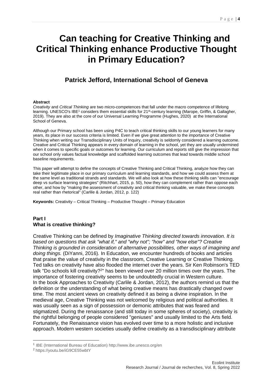# <span id="page-4-0"></span>**Can teaching for Creative Thinking and Critical Thinking enhance Productive Thought in Primary Education?**

## **Patrick Jefford, International School of Geneva**

#### <span id="page-4-1"></span>**Abstract**

*Creativity* and *Critical Thinking* are two micro-competences that fall under the macro competence of lifelong learning. UNESCO's IBE<sup>1</sup> considers them essential skills for 21<sup>st</sup>-century learning (Marope, Griffin, & Gallagher, 2019). They are also at the core of our Universal Learning Programme (Hughes, 2020) at the International School of Geneva.

Although our Primary school has been using P4C to teach critical thinking skills to our young learners for many years, its place in our success criteria is limited. Even if we give great attention to the importance of Creative Thinking when writing our Transdisciplinary Units of Inquiry, creativity is seldomly considered a learning outcome. Creative and Critical Thinking appears in every domain of learning in the school, yet they are usually undermined when it comes to specific goals or outcomes for learning. Our curriculum and reports still give the impression that our school only values factual knowledge and scaffolded learning outcomes that lead towards middle school baseline requirements.

This paper will attempt to define the concepts of Creative Thinking and Critical Thinking, analyze how they can take their legitimate place in our primary curriculum and learning standards, and how we could assess them at the same level as traditional strands and standards. We will also look at how these thinking skills can "encourage deep vs surface learning strategies" (Ritchhart, 2015, p. 50), how they can complement rather than oppose each other, and how by "making the assessment of creativity and critical thinking valuable, we make these concepts real rather than rhetorical" (Carlile & Jordan, 2012, p. 122)

**Keywords:** Creativity – Critical Thinking – Productive Thought – Primary Education

### **Part I What is creative thinking?**

Creative Thinking can be defined by *Imaginative Thinking directed towards innovation. It is based on questions that ask "what if," and "why not"; "how" and "how else"? Creative Thinking is grounded in consideration of alternative possibilities, other ways of imagining and doing things.* (DiYanni, 2016)*.* In Education, we encounter hundreds of books and articles that praise the value of creativity in the classroom, Creative Learning or Creative Thinking. Ted talks on creativity have also flooded the internet over the years. Sir Ken Robinson's TED talk "Do schools kill creativity?<sup>2</sup>" has been viewed over 20 million times over the years. The importance of fostering creativity seems to be undoubtedly crucial in Western culture. In the book Approaches to Creativity (Carlile & Jordan, 2012), the authors remind us that the definition or the understanding of what being creative means has drastically changed over time. The most ancient views on creativity defined it as being a divine inspiration. In the medieval age, Creative Thinking was not welcomed by religious and political authorities. It was usually seen as a sign of possession or demonic attributes that was feared and stigmatized. During the renaissance (and still today in some spheres of society), creativity is the rightful belonging of people considered "geniuses" and usually limited to the Arts field. Fortunately, the Renaissance vision has evolved over time to a more holistic and inclusive approach. Modern western societies usually define creativity as a transdisciplinary attribute

-

<sup>&</sup>lt;sup>1</sup> IBE (International Bureau of Education) http://www.ibe.unesco.org/en

<sup>2</sup> https://youtu.be/iG9CE55wbtY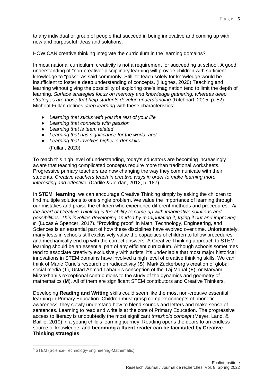to any individual or group of people that succeed in being innovative and coming up with new and purposeful ideas and solutions.

HOW CAN creative thinking integrate the curriculum in the learning domains?

In most national curriculum, creativity is not a requirement for succeeding at school. A good understanding of "non-creative" disciplinary learning will provide children with sufficient knowledge to "pass", as said commonly. Still, to teach solely for knowledge would be insufficient to foster a deep understanding of concepts. (Hughes, 2020) Teaching and learning without giving the possibility of exploring one's imagination tend to limit the depth of learning. *Surface strategies focus on memory and knowledge gathering, whereas deep strategies are those that help students develop understanding* (Ritchhart, 2015, p. 52)*.* Micheal Fullan defines *deep learning* with these characteristics:

- *Learning that sticks with you the rest of your life*
- *Learning that connects with passion*
- *Learning that is team related*
- *Learning that has significance for the world, and*
- *Learning that involves higher-order skills* (Fullan, 2020)

To reach this high level of understanding, today's educators are becoming increasingly aware that teaching complicated concepts require more than traditional worksheets. Progressive primary teachers are now changing the way they communicate with their students. *Creative teachers teach in creative ways in order to make learning more interesting and effective*. (Carlile & Jordan, 2012, p. 187)

In **STEM<sup>3</sup> learning**, we can encourage Creative Thinking simply by asking the children to find multiple solutions to one single problem. We value the importance of learning through our mistakes and praise the children who experience different methods and procedures. *At the heart of Creative Thinking is the ability to come up with imaginative solutions and possibilities. This involves developing an idea by manipulating it, trying it out and improving it.* (Lucas & Spencer, 2017). "Providing proof" in Math, Technology, Engineering, and Sciences is an essential part of how these disciplines have evolved over time. Unfortunately, many tests in schools still exclusively value the capacities of children to follow procedures and mechanically end up with the correct answers. A Creative Thinking approach to STEM learning should be an essential part of any efficient curriculum. Although schools sometimes tend to associate creativity exclusively with artists, it's undeniable that most major historical innovations in STEM domains have involved a high level of creative thinking skills. We can think of Marie Curie's research on radioactivity (**S**), Mark Zuckerberg's creation of global social media (**T**), Ustad Ahmad Lahauri's conception of the Taj Mahal (**E**), or Maryam Mirzakhani's exceptional contributions to the study of the dynamics and geometry of mathematics (**M**). All of them are significant STEM contributors and Creative Thinkers.

Developing **Reading and Writing** skills could seem like the most non-creative essential learning in Primary Education. Children must grasp complex concepts of phonetic awareness; they slowly understand how to blend sounds and letters and make sense of sentences. Learning to read and write is at the core of Primary Education. The progressive access to literacy is undoubtedly the most significant *threshold concept* (Meyer, Land, & Baillie, 2010) in a young child's learning journey. Reading opens the doors to an endless source of knowledge, and **becoming a fluent reader can be facilitated by Creative Thinking strategies**.

1

<sup>3</sup> STEM (Science-Technology-Engineering-Mathematic)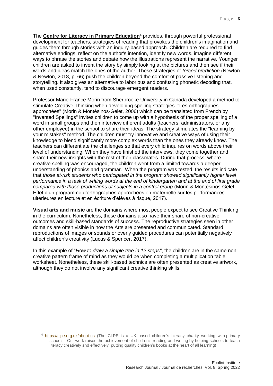The **[Centre for Literacy in Primary Education](https://clpe.org.uk/about-us)**<sup>4</sup> provides, through powerful professional development for teachers, strategies of reading that provokes the children's imagination and guides them through stories with an inquiry-based approach. Children are required to find alternative endings, reflect on the author's intention, identify new words, imagine different ways to phrase the stories and debate how the illustrations represent the narrative. Younger children are asked to invent the story by simply looking at the pictures and then see if their words and ideas match the ones of the author. These strategies of *forced prediction* (Newton & Newton, 2018, p. 66) push the children beyond the comfort of passive listening and storytelling. It also gives an alternative to laborious and confusing phonetic decoding that, when used constantly, tend to discourage emergent readers.

Professor Marie-France Morin from Sherbrooke University in Canada developed a method to stimulate Creative Thinking when developing spelling strategies. "Les orthographes approchées" (Morin & Montésinos-Gelet, 2006) which can be translated from French by "Invented Spellings" invites children to come up with a hypothesis of the proper spelling of a word in small groups and then interview different adults (teachers, administrators, or any other employee) in the school to share their ideas. The strategy stimulates the "learning by your mistakes" method. The children must try innovative and creative ways of using their knowledge to blend significantly more complex words than the ones they already know. The teachers can differentiate the challenges so that every child inquires on words above their level of understanding. When they have finished the interviews, they come together and share their new insights with the rest of their classmates. During that process, where creative spelling was encouraged, the children went from a limited towards a deeper understanding of phonics and grammar. When the program was tested, the results indicate that *those at-risk students who participated in the program showed significantly higher level performance in a task of writing words at the end of kindergarten and at the end of first grade compared with those productions of subjects in a control group* (Morin & Montésinos-Gelet, Effet d'un programme d'orthographes approchées en maternelle sur les performances ultérieures en lecture et en écriture d'élèves à risque, 2017).

**Visual arts and music** are the domains where most people expect to see Creative Thinking in the curriculum. Nonetheless, these domains also have their share of non-creative outcomes and skill-based standards of success. The reproductive strategies seen in other domains are often visible in how the Arts are presented and communicated. Standard reproductions of images or sounds or overly guided procedures can potentially negatively affect children's creativity (Lucas & Spencer, 2017).

In this example of "*H*o*w to draw a simple tree in 12 steps"*, the children are in the same noncreative pattern frame of mind as they would be when completing a multiplication table worksheet. Nonetheless, these skill-based technics are often presented as creative artwork, although they do not involve any significant creative thinking skills.

1

<sup>4</sup> <https://clpe.org.uk/about-us> (The CLPE is a UK based children's literacy charity working with primary schools. Our work raises the achievement of children's reading and writing by helping schools to teach literacy creatively and effectively, putting quality children's books at the heart of all learning)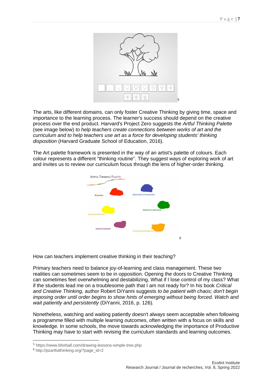

The arts, like different domains, can only foster Creative Thinking by giving time, space and importance to the learning process. The learner's success should depend on the creative process over the end product. Harvard's Project Zero suggests the *Artful Thinking Palette* (see image below) *to help teachers create connections between works of art and the curriculum and to help teachers use art as a force for developing students' thinking disposition* (Harvard Graduate School of Education, 2016)*.*

The Art palette framework is presented in the way of an artist's palette of colours. Each colour represents a different "thinking routine". They suggest ways of exploring work of art and invites us to review our curriculum focus through the lens of higher-order thinking.



How can teachers implement creative thinking in their teaching?

Primary teachers need to balance joy-of-learning and class management. These two realities can sometimes seem to be in opposition. Opening the doors to Creative Thinking can sometimes feel overwhelming and destabilizing. What if I lose control of my class? What if the students lead me on a troublesome path that I am not ready for? In his book *Critical and Creative Thinking,* author Robert DiYanni suggests *to be patient with chaos; don't begin imposing order until order begins to show hints of emerging without being forced. Watch and wait patiently and persistently* (DiYanni, 2016, p. 126)*.*

Nonetheless, watching and waiting patiently doesn't always seem acceptable when following a programme filled with multiple learning outcomes, often written with a focus on skills and knowledge. In some schools, the move towards acknowledging the importance of Productive Thinking may have to start with revising the curriculum standards and learning outcomes.

-

<sup>5</sup> https://www.bforball.com/drawing-lessons-simple-tree.php

<sup>6</sup> http://pzartfulthinking.org/?page\_id=2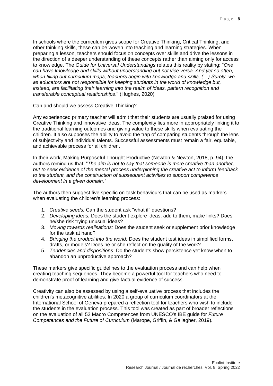In schools where the curriculum gives scope for Creative Thinking, Critical Thinking, and other thinking skills, these can be woven into teaching and learning strategies. When preparing a lesson, teachers should focus on concepts over skills and drive the lessons in the direction of a deeper understanding of these concepts rather than aiming only for access to knowledge. The *Guide for Universal Understandings* relates this reality by stating: "*One can have knowledge and skills without understanding but not vice versa. And yet so often, when filling out curriculum maps, teachers begin with knowledge and skills, (…) Surely, we as educators are not responsible for keeping students in the world of knowledge but, instead, are facilitating their learning into the realm of ideas, pattern recognition and transferable conceptual relationships*." (Hughes, 2020)

Can and should we assess Creative Thinking?

Any experienced primary teacher will admit that their students are usually praised for using Creative Thinking and innovative ideas. The complexity lies more in appropriately linking it to the traditional learning outcomes and giving value to these skills when evaluating the children. It also supposes the ability to avoid the trap of comparing students through the lens of subjectivity and individual talents. Successful assessments must remain a fair, equitable, and achievable process for all children.

In their work, Making Purposeful Thought Productive (Newton & Newton, 2018, p. 94), the authors remind us that: "*The aim is not to say that someone is more creative than another, but to seek evidence of the mental process underpinning the creative act to inform feedback to the student, and the construction of subsequent activities to support competence development in a given domain."* 

The authors then suggest five specific on-task behaviours that can be used as markers when evaluating the children's learning process:

- 1. *Creative seeds:* Can the student ask "what if" questions?
- 2. *Developing ideas:* Does the student explore ideas, add to them, make links? Does he/she risk trying unusual ideas?
- 3. *Moving towards realisations:* Does the student seek or supplement prior knowledge for the task at hand?
- 4. *Bringing the product into the world:* Does the student test ideas in simplified forms, drafts, or models? Does he or she reflect on the quality of the work?
- 5. *Tendencies and dispositions:* Do the students show persistence yet know when to abandon an unproductive approach?

These markers give specific guidelines to the evaluation process and can help when creating teaching sequences. They become a powerful tool for teachers who need to demonstrate proof of learning and give factual evidence of success.

Creativity can also be assessed by using a self-evaluative process that includes the children's metacognitive abilities. In 2020 a group of curriculum coordinators at the International School of Geneva prepared a reflection tool for teachers who wish to include the students in the evaluation process. This tool was created as part of broader reflections on the evaluation of all 52 Macro Competences from UNESCO's IBE guide for *Future Competences and the Future of Curriculum* (Marope, Griffin, & Gallagher, 2019)*.*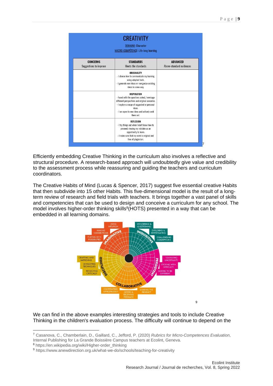| <b>CREATIVITY</b><br><b>DOMAINE: Character</b><br><b>MACRO-COMPÉTENCE: Life-long learning</b> |                                                                                                                                                                                                                                    |                                             |  |
|-----------------------------------------------------------------------------------------------|------------------------------------------------------------------------------------------------------------------------------------------------------------------------------------------------------------------------------------|---------------------------------------------|--|
| <b>CONCERNS</b><br>Suggestions to improve                                                     | <b>STANDARDS</b><br>Meets the standards                                                                                                                                                                                            | <b>ADVANCED</b><br>Above-standard evidences |  |
|                                                                                               | ORIGINALITY<br>- I choose how to communicate my learning<br>using adapted tools.<br>- I generate new ideas or reorganize existing<br>ideas in a new way.                                                                           |                                             |  |
|                                                                                               | INSPIRATION<br>- Faced with the questions asked, I envisage<br>different perspectives and original scenarios.<br>- I explore a range of suggested or personal<br>ideas.<br>- I am open to new ideas and actively seek<br>them out. |                                             |  |
|                                                                                               | REFLEXION<br>- I try things out when I don't know how to<br>proceed, viewing my mistake as an<br>opportunity to learn.<br>- I make sure that my work is original and<br>free of plagiarism.                                        |                                             |  |

Efficiently embedding Creative Thinking in the curriculum also involves a reflective and structural procedure. A research-based approach will undoubtedly give value and credibility to the assessment process while reassuring and guiding the teachers and curriculum coordinators.

The Creative Habits of Mind (Lucas & Spencer, 2017) suggest five essential creative Habits that then subdivide into 15 other Habits. This five-dimensional model is the result of a longterm review of research and field trials with teachers. It brings together a vast panel of skills and competencies that can be used to design and conceive a curriculum for any school. The model involves higher-order thinking skills<sup>8</sup>(HOTS) presented in a way that can be embedded in all learning domains.



We can find in the above examples interesting strategies and tools to include Creative Thinking in the children's evaluation process. The difficulty will continue to depend on the

1

<sup>7</sup> Casanova, C., Chamberlain, D., Gaillard, C., Jefford, P. (2020) *Rubrics for Micro-Competences Evaluation*, Internal Publishing for La Grande Boissière Campus teachers at Ecolint, Geneva.

<sup>8</sup> https://en.wikipedia.org/wiki/Higher-order\_thinking

<sup>9</sup> https://www.anewdirection.org.uk/what-we-do/schools/teaching-for-creativity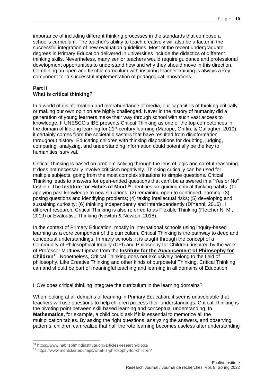importance of including different thinking processes in the standards that compose a school's curriculum. The teacher's ability to teach creatively will also be a factor in the successful integration of new evaluation guidelines. Most of the recent undergraduate degrees in Primary Education delivered in universities include the didactics of different thinking skills. Nevertheless, many senior teachers would require guidance and professional development opportunities to understand how and why they should move in this direction. Combining an open and flexible curriculum with inspiring teacher training is always a key component for a successful implementation of pedagogical innovations.

### **Part II What is critical thinking?**

In a world of disinformation and overabundance of media, our capacities of thinking critically or making our own opinion are highly challenged. Never in the history of humanity did a generation of young learners make their way through school with such vast access to knowledge. If UNESCO's IBE presents Critical Thinking as one of the top competences in the domain of lifelong learning for 21<sup>st</sup>-century learning (Marope, Griffin, & Gallagher, 2019), it certainly comes from the societal disasters that have resulted from disinformation throughout history. Educating children with thinking dispositions for doubting, judging, comparing, analyzing, and understanding information could potentially be the key to humanities' survival.

Critical Thinking is based on problem-solving through the lens of logic and careful reasoning. It does not necessarily involve criticism negatively. Thinking critically can be used for multiple subjects, going from the most complex situations to simple questions. Critical Thinking leads to answers for open-ended questions that can't be answered in a "Yes or No" fashion. The **Institute for Habits of Mind** <sup>10</sup> identifies six guiding critical thinking habits: (1) applying past knowledge to new situations; (2) remaining open to continued learning; (3) posing questions and identifying problems; (4) taking intellectual risks; (5) developing and sustaining curiosity; (6) thinking independently and interdependently (DiYanni, 2016) . I different research, Critical Thinking is also referred to as Flexible Thinking (Fletcher N. M., 2019) or Evaluative Thinking (Newton & Newton, 2018).

In the context of Primary Education, mostly in international schools using inquiry-based learning as a core component of the curriculum, Critical Thinking is the pathway to deep and conceptual understandings. In many schools, it is taught through the concept of a Community of Philosophical Inquiry (CPI) and Philosophy for Children, inspired by the work of Professor Matthew Lipman from the **[Institute for the Advancement of Philosophy for](https://www.montclair.edu/iapc/)  [Children](https://www.montclair.edu/iapc/)**<sup>11</sup>. Nonetheless, Critical Thinking does not exclusively belong to the field of philosophy. Like Creative Thinking and other kinds of purposeful Thinking, Critical Thinking can and should be part of meaningful teaching and learning in all domains of Education.

HOW does critical thinking integrate the curriculum in the learning domains?

When looking at all domains of learning in Primary Education, it seems unavoidable that teachers will use questions to help children process their understandings. Critical Thinking is the pivoting point between skill-based learning and conceptual understanding. In **Mathematics,** for example, a child could ask if it is essential to memorize all the multiplication tables. By asking the right questions, analyzing the answers, and observing patterns, children can realize that half the rote learning becomes useless after understanding

-

<sup>10</sup> https://www.habitsofmindinstitute.org/articles-research-blogs/

<sup>11</sup> https://www.montclair.edu/iapc/what-is-philosophy-for-children/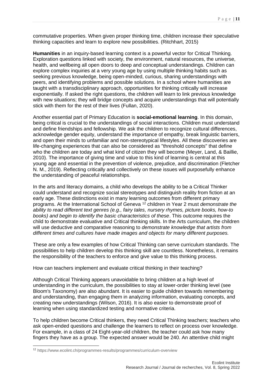commutative properties. When given proper thinking time, children increase their speculative thinking capacities and learn to explore new possibilities. (Ritchhart, 2015)

**Humanities** in an inquiry-based learning context is a powerful vector for Critical Thinking. Exploration questions linked with society, the environment, natural resources, the universe, health, and wellbeing all open doors to deep and conceptual understandings. Children can explore complex inquiries at a very young age by using multiple thinking habits such as seeking previous knowledge, being open-minded, curious, sharing understandings with peers, and identifying problems and possible solutions. In a school where humanities are taught with a transdisciplinary approach, opportunities for thinking critically will increase exponentially. If asked the right questions, the children will learn to link previous knowledge with new situations; they will bridge concepts and acquire understandings that will potentially stick with them for the rest of their lives (Fullan, 2020).

Another essential part of Primary Education is **social-emotional learning**. In this domain, being critical is crucial to the understandings of social interactions. Children must understand and define friendships and fellowship. We ask the children to recognize cultural differences, acknowledge gender equity, understand the importance of empathy, break linguistic barriers, and open their minds to unfamiliar and non-stereotypical lifestyles. All these discoveries are life-changing experiences that can also be considered as "threshold concepts" that define who the children are today and what kind of citizen they will become (Meyer, Land, & Baillie, 2010). The importance of giving time and value to this kind of learning is central at this young age and essential in the prevention of violence, prejudice, and discrimination (Fletcher N. M., 2019). Reflecting critically and collectively on these issues will purposefully enhance the understanding of peaceful relationships.

In the arts and literacy domains, a child who develops the ability to be a Critical Thinker could understand and recognize social stereotypes and distinguish reality from fiction at an early age. These distinctions exist in many learning outcomes from different primary programs. At the International School of Geneva <sup>12</sup> children in Year 2 must *demonstrate the ability to read different text genres (e.g., fairy tales, nursery rhymes, picture books, how-to books) and begin to identify the basic characteristics of these*. This outcome requires the child to demonstrate evaluative and Critical thinking skills. In the Arts curriculum, the children will use deductive and comparative reasoning to *demonstrate knowledge that artists from different times and cultures have made images and objects for many different purposes.*

These are only a few examples of how Critical Thinking can serve curriculum standards. The possibilities to help children develop this thinking skill are countless. Nonetheless, it remains the responsibility of the teachers to enforce and give value to this thinking process.

How can teachers implement and evaluate critical thinking in their teaching?

Although Critical Thinking appears unavoidable to bring children at a high level of understanding in the curriculum, the possibilities to stay at lower-order thinking level (see Bloom's Taxonomy) are also abundant. It is easier to guide children towards remembering and understanding, than engaging them in analyzing information, evaluating concepts, and creating new understandings (Wilson, 2016). It is also easier to demonstrate proof of learning when using standardized testing and normative criteria.

To help children become Critical thinkers, they need Critical Thinking teachers; teachers who ask open-ended questions and challenge the learners to reflect on process over knowledge. For example, in a class of 24 Eight-year-old children, the teacher could ask how many fingers they have as a group. The expected answer would be 240. An attentive child might

1

<sup>12</sup> https://www.ecolint.ch/programmes-results/programmes/curriculum-overview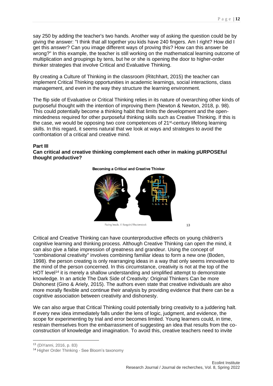say 250 by adding the teacher's two hands. Another way of asking the question could be by giving the answer: "I think that all together you kids have 240 fingers. Am I right? How did I get this answer? Can you image different ways of proving this? How can this answer be wrong?" In this example, the teacher is still working on the mathematical learning outcome of multiplication and groupings by tens, but he or she is opening the door to higher-order thinker strategies that involve Critical and Evaluative Thinking.

By creating a Culture of Thinking in the classroom (Ritchhart, 2015) the teacher can implement Critical Thinking opportunities in academic learnings, social interactions, class management, and even in the way they structure the learning environment.

The flip side of Evaluative or Critical Thinking relies in its nature of overarching other kinds of purposeful thought with the intention of improving them (Newton & Newton, 2018, p. 98). This could potentially become a thinking habit that limits the development and the openmindedness required for other purposeful thinking skills such as Creative Thinking. If this is the case, we would be opposing two core competences of 21st-century lifelong learning skills. In this regard, it seems natural that we look at ways and strategies to avoid the confrontation of a critical and creative mind.

#### **Part III**

#### **Can critical and creative thinking complement each other in making pURPOSEful thought productive?**

**Becoming a Critical and Creative Thinker** 



Facing heads.  $\copyright$  Sangoiri/Shutterstock

13

Critical and Creative Thinking can have counterproductive effects on young children's cognitive learning and thinking process. Although Creative Thinking can open the mind, it can also give a false impression of greatness and grandeur. Using the concept of "combinational creativity" involves combining familiar ideas to form a new one (Boden, 1998). the person creating is only rearranging ideas in a way that only seems innovative to the mind of the person concerned. In this circumstance, creativity is not at the top of the HOT level<sup>14</sup> it is merely a shallow understanding and simplified attempt to demonstrate knowledge. In an article The Dark Side of Creativity: Original Thinkers Can be more Dishonest (Gino & Ariely, 2015). The authors even state that creative individuals are also more morally flexible and continue their analysis by providing evidence that there can be a cognitive association between creativity and dishonesty.

We can also argue that Critical Thinking could potentially bring creativity to a juddering halt. If every new idea immediately falls under the lens of logic, judgment, and evidence, the scope for experimenting by trial and error becomes limited. Young learners could, in time, restrain themselves from the embarrassment of suggesting an idea that results from the coconstruction of knowledge and imagination. To avoid this, creative teachers need to invite

-

<sup>13</sup> (DiYanni, 2016, p. 83)

<sup>14</sup> Higher Order Thinking - See Bloom's taxonomy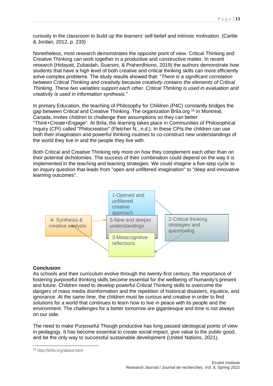curiosity in the classroom to build up the learners' self-belief and intrinsic motivation. (Carlile & Jordan, 2012, p. 233)

Nonetheless, most research demonstrates the opposite point of view. Critical Thinking and Creative Thinking can work together in a productive and constructive matter. In recent research (Hidayati, Zubaidah, Suarsini, & Praherdhiono, 2019) the authors demonstrate how students that have a high level of both creative and critical thinking skills can more efficiently solve complex problems. The study results showed that: "*There is a significant correlation between Critical Thinking and creativity because creativity contains the elements of Critical Thinking. These two variables support each other. Critical Thinking is used in evaluation and creativity is used in information synthesis."*

In primary Education, the teaching of Philosophy for Children (P4C) constantly bridges the gap between Critical and Creative Thinking. The organization Brila.org <sup>15</sup> in Montreal, Canada, invites children to challenge their assumptions so they can better "*Think+Create+Engage*". At Brila, the learning takes place in Communities of Philosophical Inquiry (CPI) called "Philocreation" (Fletcher N., n.d.). In these CPIs the children can use both their imagination and powerful thinking routines to co-construct new understandings of the world they live in and the people they live with.

Both Critical and Creative Thinking rely more on how they complement each other than on their potential dichotomies. The success of their combination could depend on the way it is implemented in the teaching and learning strategies. We could imagine a five-step cycle to an inquiry question that leads from "open and unfiltered imagination" to "deep and innovative learning outcomes".



#### **Conclusion**

As schools and their curriculum evolve through the twenty-first century, the importance of fostering purposeful thinking skills become essential for the wellbeing of humanity's present and future. Children need to develop powerful Critical Thinking skills to overcome the dangers of mass media disinformation and the repetition of historical disasters, injustice, and ignorance. At the same time, the children must be curious and creative in order to find solutions for a world that continues to learn how to live in peace with its people and the environment. The challenges for a better tomorrow are gigantesque and time is not always on our side.

The need to make Purposeful Though productive has long passed ideological points of view in pedagogy. It has become essential to create social impact, give value to the public good, and be the only way to successful sustainable development (United Nations, 2021).

1

<sup>15</sup> http://brila.org/about.html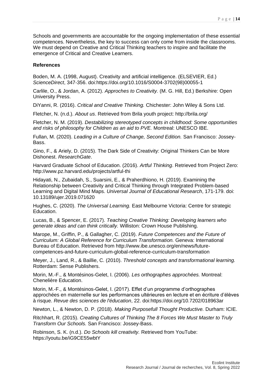Schools and governments are accountable for the ongoing implementation of these essential competences. Nevertheless, the key to success can only come from inside the classrooms. We must depend on Creative and Critical Thinking teachers to inspire and facilitate the emergence of Critical and Creative Learners.

#### **References**

Boden, M. A. (1998, August). Creativity and artificial intelligence. (ELSEVIER, Ed.) *ScienceDirect*, 347-356. doi:https://doi.org/10.1016/S0004-3702(98)00055-1

Carlile, O., & Jordan, A. (2012). *Approches to Creativity.* (M. G. Hill, Ed.) Berkshire: Open University Press.

DiYanni, R. (2016). *Critical and Creative Thinking.* Chichester: John Wiley & Sons Ltd.

Fletcher, N. (n.d.). *About us*. Retrieved from Brila youth project: http://brila.org/

Fletcher, N. M. (2019). *Destabilizing stereotyped concepts in childhood: Some opportunities and risks of philosophy for Children as an aid to PVE.* Montreal: UNESCO IBE.

Fullan, M. (2020). *Leading in a Culture of Change, Second Edition.* San Francisco: Jossey-Bass.

Gino, F., & Ariely, D. (2015). The Dark Side of Creativity: Original Thinkers Can be More Dishonest. *ResearchGate*.

Harvard Graduate School of Education. (2016). *Artful Thinking*. Retrieved from Project Zero: http://www.pz.harvard.edu/projects/artful-thi

Hidayati, N., Zubaidah, S., Suarsini, E., & Praherdhiono, H. (2019). Examining the Relationship between Creativity and Critical Thinking through Integrated Problem-based Learning and Digital Mind Maps. *Universal Journal of Educational Research*, 171-179. doi: 10.13189/ujer.2019.071620

Hughes, C. (2020). *The Universal Learning.* East Melbourne Victoria: Centre for strategic Education.

Lucas, B., & Spencer, E. (2017). *Teaching Creative Thinking: Developing learners who generate ideas and can think critically.* Williston: Crown House Publishing.

Marope, M., Griffin, P., & Gallagher, C. (2019). *Future Competences and the Future of Curriculum: A Global Reference for Curriculum Transformation.* Geneva: International Bureau of Education. Retrieved from http://www.ibe.unesco.org/en/news/futurecompetences-and-future-curriculum-global-reference-curriculum-transformation

Meyer, J., Land, R., & Baillie, C. (2010). *Threshold concepts and transformational learning.* Rotterdam: Sense Publishers.

Morin, M.-F., & Montésinos-Gelet, I. (2006). *Les orthographes approchées.* Montreal: Chenelière Education.

Morin, M.-F., & Montésinos-Gelet, I. (2017). Effet d'un programme d'orthographes approchées en maternelle sur les performances ultérieures en lecture et en écriture d'élèves à risque. *Revue des sciences de l'éducation*, 22. doi:https://doi.org/10.7202/018963ar

Newton, L., & Newton, D. P. (2018). *Making Purposefull Thought Productive.* Durham: ICIE.

Ritchhart, R. (2015). *Creating Cultures of Thinking The 8 Forces We Must Master to Truly Transform Our Schools.* San Francisco: Jossey-Bass.

Robinson, S. K. (n.d.). *Do Schools kill creativity.* Retrieved from YouTube: https://youtu.be/iG9CE55wbtY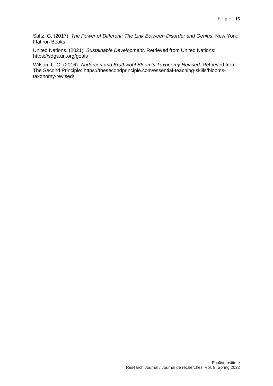Saltz, G. (2017). *The Power of Different: The Link Between Disorder and Genius.* New York: Flatiron Books.

United Nations. (2021). *Sustainable Development*. Retrieved from United Nations: https://sdgs.un.org/goals

Wilson, L. O. (2016). *Anderson and Krathwohl Bloom's Taxonomy Revised*. Retrieved from The Second Principle: https://thesecondprinciple.com/essential-teaching-skills/bloomstaxonomy-revised/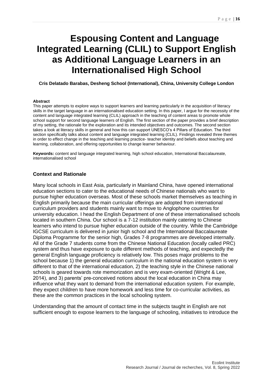# <span id="page-16-0"></span>**Espousing Content and Language Integrated Learning (CLIL) to Support English as Additional Language Learners in an Internationalised High School**

<span id="page-16-1"></span>**Cris Delatado Barabas, Desheng School (International), China, University College London**

#### **Abstract**

This paper attempts to explore ways to support learners and learning particularly in the acquisition of literacy skills in the target language in an internationalised education setting. In this paper, I argue for the necessity of the content and language integrated learning (CLIL) approach in the teaching of content areas to promote whole school support for second language learners of English. The first section of the paper provides a brief description of my setting, the rationale for the exploration and its intended objectives and outcomes. The second section takes a look at literacy skills in general and how this can support UNESCO's 4 Pillars of Education. The third section specifically talks about content and language integrated learning (CLIL). Findings revealed three themes in order to effect change in the teaching and learning practice- teacher identity and beliefs about teaching and learning, collaboration, and offering opportunities to change learner behaviour.

**Keywords:** content and language integrated learning, high school education, International Baccalaureate, internationalised school

#### **Context and Rationale**

Many local schools in East Asia, particularly in Mainland China, have opened international education sections to cater to the educational needs of Chinese nationals who want to pursue higher education overseas. Most of these schools market themselves as teaching in English primarily because the main curricular offerings are adopted from international curriculum providers and students mainly want to move to Anglophone countries for university education. I head the English Department of one of these internationalised schools located in southern China. Our school is a 7-12 institution mainly catering to Chinese learners who intend to pursue higher education outside of the country. While the Cambridge IGCSE curriculum is delivered in junior high school and the International Baccalaureate Diploma Programme for the senior high, Grades 7-8 programmes are developed internally. All of the Grade 7 students come from the Chinese National Education (locally called PRC) system and thus have exposure to quite different methods of teaching, and expectedly the general English language proficiency is relatively low. This poses major problems to the school because 1) the general education curriculum in the national education system is very different to that of the international education, 2) the teaching style in the Chinese national schools is geared towards rote memorization and is very exam-oriented (Wright & Lee, 2014), and 3) parents' pre-conceived notions about the local education in China may influence what they want to demand from the international education system. For example, they expect children to have more homework and less time for co-curricular activities, as these are the common practices in the local schooling system.

Understanding that the amount of contact time in the subjects taught in English are not sufficient enough to expose learners to the language of schooling, initiatives to introduce the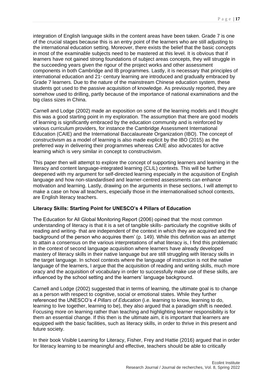integration of English language skills in the content areas have been taken. Grade 7 is one of the crucial stages because this is an entry point of the learners who are still adjusting to the international education setting. Moreover, there exists the belief that the basic concepts in most of the examinable subjects need to be mastered at this level. It is obvious that if learners have not gained strong foundations of subject areas concepts, they will struggle in the succeeding years given the rigour of the project works and other assessment components in both Cambridge and IB programmes. Lastly, it is necessary that principles of international education and  $21$ <sup>\*</sup> century learning are introduced and gradually embraced by Grade 7 learners. Due to the nature of the mainstream Chinese education system, these students got used to the passive acquisition of knowledge. As previously reported, they are somehow used to drilling, partly because of the importance of national examinations and the big class sizes in China.

Carnell and Lodge (2002) made an exposition on some of the learning models and I thought this was a good starting point in my exploration. The assumption that there are good models of learning is significantly embraced by the education community and is reinforced by various curriculum providers, for instance the Cambridge Assessment International Education (CAIE) and the International Baccalaureate Organization (IBO). The concept of constructivism as a model of learning is also made explicit by the IBO (2015) as the preferred way in delivering their programmes whereas CAIE also advocates for active learning which is very similar in concept to constructivism.

This paper then will attempt to explore the concept of supporting learners and learning in the literacy and content language-integrated learning (CLIL) contexts. This will be further deepened with my argument for self-directed learning especially in the acquisition of English language and how non-standardised and learner-centred assessments can enhance motivation and learning. Lastly, drawing on the arguments in these sections, I will attempt to make a case on how all teachers, especially those in the internationalised school contexts, are English literacy teachers.

#### **Literacy Skills: Starting Point for UNESCO's 4 Pillars of Education**

The Education for All Global Monitoring Report (2006) opined that 'the most common understanding of literacy is that it is a set of tangible skills- particularly the cognitive skills of reading and writing- that are independent of the context in which they are acquired and the background of the person who acquires them' (p. 149). While this definition was an attempt to attain a consensus on the various interpretations of what literacy is, I find this problematic in the context of second language acquisition where learners have already developed mastery of literacy skills in their native language but are still struggling with literacy skills in the target language. In school contexts where the language of instruction is not the native language of the learners, I argue that the acquisition of reading and writing skills, much more oracy and the acquisition of vocabulary in order to successfully make use of these skills, are influenced by the school setting and the learners' language background.

Carnell and Lodge (2002) suggested that in terms of learning, the ultimate goal is to change as a person with respect to cognitive, social or emotional states. While they further referenced the UNESCO's *4 Pillars of Education* (i.e. learning to know, learning to do, learning to live together, learning to be), they also argued that a paradigm shift is needed. Focusing more on learning rather than teaching and highlighting learner responsibility is for them an essential change. If this then is the ultimate aim, it is important that learners are equipped with the basic facilities, such as literacy skills, in order to thrive in this present and future society.

In their book Visible Learning for Literacy, Fisher, Frey and Hattie (2016) argued that in order for literacy learning to be meaningful and effective, teachers should be able to critically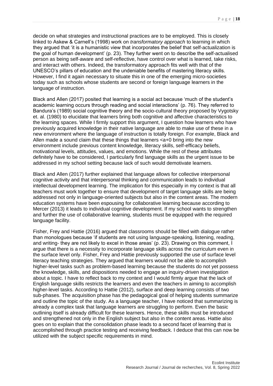decide on what strategies and instructional practices are to be employed. This is closely linked to Askew & Carnell's (1998) work on *transformatory approach* to learning in which they argued that 'it is a humanistic view that incorporates the belief that self-actualization is the goal of human development' (p. 23). They further went on to describe the self-actualised person as being self-aware and self-reflective, have control over what is learned, take risks, and interact with others. Indeed, the transformatory approach fits well with that of the UNESCO's pillars of education and the undeniable benefits of mastering literacy skills. However, I find it again necessary to situate this in one of the emerging micro-societies today such as schools whose students are second or foreign language learners in the language of instruction.

Black and Allen (2017) posited that learning is a social act because 'much of the student's academic learning occurs through reading and social interactions' (p. 76). They referred to Bandura's (1989) social cognitive theory and the socio-cultural theory proposed by Vygotsky et. al. (1980) to elucidate that learners bring both cognitive and affective characteristics to the learning spaces. While I firmly support this argument, I question how learners who have previously acquired knowledge in their native language are able to make use of these in a new environment where the language of instruction is totally foreign. For example, Black and Allen made a sound claim that these things that learners <a+0 bring into the new environment include previous content knowledge, literacy skills, self-efficacy beliefs, motivational levels, attitudes, values, and emotions. While the rest of these attributes definitely have to be considered, I particularly find language skills as the urgent issue to be addressed in my school setting because lack of such would demotivate learners.

Black and Allen (2017) further explained that language allows for collective interpersonal cognitive activity and that interpersonal thinking and communication leads to individual intellectual development learning. The implication for this especially in my context is that all teachers must work together to ensure that development of target language skills are being addressed not only in language-oriented subjects but also in the content areas. The modern education systems have been espousing for collaborative learning because according to Mercer (2013) it leads to individual cognitive development. If my school wants to strengthen and further the use of collaborative learning, students must be equipped with the required language facility.

Fisher, Frey and Hattie (2016) argued that classrooms should be filled with dialogue rather than monologues because 'if students are not using language-speaking, listening, reading, and writing- they are not likely to excel in those areas' (p. 23). Drawing on this comment, I argue that there is a necessity to incorporate language skills across the curriculum even in the surface level only. Fisher, Frey and Hattie previously supported the use of surface level literacy teaching strategies. They argued that learners would not be able to accomplish higher-level tasks such as problem-based learning because the students do not yet possess the knowledge, skills, and dispositions needed to engage an inquiry-driven investigation about a topic. I have to reflect back to my context and I would firmly argue that the lack of English language skills restricts the learners and even the teachers in aiming to accomplish higher-level tasks. According to Hattie (2012), surface and deep learning consists of two sub-phases. The acquisition phase has the pedagogical goal of helping students summarize and outline the topic of the study. As a language teacher, I have noticed that summarizing is already a complex task that language learners are struggling to perform. Even the basic outlining itself is already difficult for these learners. Hence, these skills must be introduced and strengthened not only in the English subject but also in the content areas. Hattie also goes on to explain that the consolidation phase leads to a second facet of learning that is accomplished through practice testing and receiving feedback. I deduce that this can now be utilized with the subject specific requirements in mind.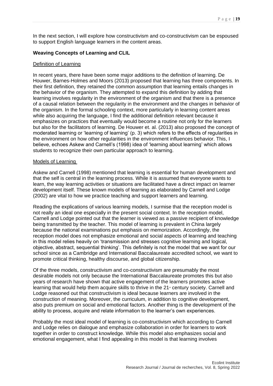In the next section, I will explore how constructivism and co-constructivism can be espoused to support English language learners in the content areas.

### **Weaving Concepts of Learning and CLIL**

#### Definition of Learning

In recent years, there have been some major additions to the definition of learning. De Houwer, Barnes-Holmes and Moors (2013) proposed that learning has three components. In their first definition, they retained the common assumption that learning entails changes in the behavior of the organism. They attempted to expand this definition by adding that learning involves regularity in the environment of the organism and that there is a presence of a causal relation between the regularity in the environment and the changes in behavior of the organism. In the formal schooling context, more particularly in learning content areas while also acquiring the language, I find the additional definition relevant because it emphasizes on practices that eventually would become a routine not only for the learners but also for the facilitators of learning. De Houwer et. al. (2013) also proposed the concept of moderated learning or 'learning of learning' (p. 3) which refers to the effects of regularities in the environment on how other regularities in the environment influences behavior. This, I believe, echoes Askew and Carnell's (1998) idea of 'learning about learning' which allows students to recognize their own particular approach to learning.

#### Models of Learning

Askew and Carnell (1998) mentioned that learning is essential for human development and that the self is central in the learning process. While it is assumed that everyone wants to learn, the way learning activities or situations are facilitated have a direct impact on learner development itself. These known models of learning as elaborated by Carnell and Lodge (2002) are vital to how we practice teaching and support learners and learning.

Reading the explications of various learning models, I surmise that the reception model is not really an ideal one especially in the present social context. In the reception model, Carnell and Lodge pointed out that the learner is viewed as a passive recipient of knowledge being transmitted by the teacher. This model of learning is prevalent in China largely because the national examinations put emphasis on memorization. Accordingly, the reception model does not emphasize emotional and social aspects of learning and teaching in this model relies heavily on 'transmission and stresses cognitive learning and logical, objective, abstract, sequential thinking'. This definitely is not the model that we want for our school since as a Cambridge and International Baccalaureate accredited school, we want to promote critical thinking, healthy discourse, and global citizenship.

Of the three models, constructivism and co-constructivism are presumably the most desirable models not only because the International Baccalaureate promotes this but also years of research have shown that active engagement of the learners promotes active learning that would help them acquire skills to thrive in the  $21<sup>*</sup>$  century society. Carnell and Lodge reasoned out that constructivism is ideal because learners are involved in the construction of meaning. Moreover, the curriculum, in addition to cognitive development, also puts premium on social and emotional factors. Another thing is the development of the ability to process, acquire and relate information to the learner's own experiences.

Probably the most ideal model of learning is co-constructivism which according to Carnell and Lodge relies on dialogue and emphasize collaboration in order for learners to work together in order to construct knowledge. While this model also emphasizes social and emotional engagement, what I find appealing in this model is that learning involves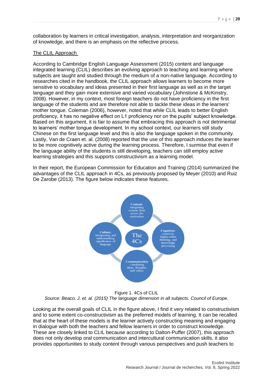collaboration by learners in critical investigation, analysis, interpretation and reorganization of knowledge, and there is an emphasis on the reflective process.

#### The CLIL Approach

According to Cambridge English Language Assessment (2015) content and language integrated learning (CLIL) describes an evolving approach to teaching and learning where subjects are taught and studied through the medium of a non-native language. According to researches cited in the handbook, the CLIL approach allows learners to become more sensitive to vocabulary and ideas presented in their first language as well as in the target language and they gain more extensive and varied vocabulary (Johnstone & McKinstry, 2008). However, in my context, most foreign teachers do not have proficiency in the first language of the students and are therefore not able to tackle these ideas in the learners' mother tongue. Coleman (2006), however, noted that while CLIL leads to better English proficiency, it has no negative effect on L1 proficiency nor on the pupils' subject knowledge. Based on this argument, it is fair to assume that embracing this approach is not detrimental to learners' mother tongue development. In my school context, our learners still study Chinese on the first language level and this is also the language spoken in the community. Lastly, Van de Craen et. al. (2008) reported that the use of this approach induces the learner to be more cognitively active during the learning process. Therefore, I surmise that even if the language ability of the students is still developing, teachers can still employ active learning strategies and this supports constructivism as a learning model.

In their report, the European Commission for Education and Training (2014) summarized the advantages of the CLIL approach in 4Cs, as previously proposed by Meyer (2010) and Ruiz De Zarobe (2013). The figure below indicates these features.



Figure 1. 4Cs of CLIL *Source: Beaco, J. et. al. (2015) The language dimension in all subjects. Council of Europe.*

Looking at the overall goals of CLIL in the figure above, I find it very related to constructivism and to some extent co-constructivism as the preferred models of learning. It can be recalled that at the heart of these models is the learner actively constructing meaning and engaging in dialogue with both the teachers and fellow learners in order to construct knowledge. These are closely linked to CLIL because according to Dalton-Puffer (2007), this approach does not only develop oral communication and intercultural communication skills, it also provides opportunities to study content through various perspectives and push teachers to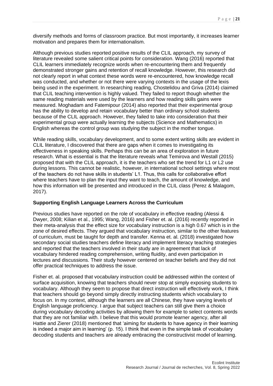diversify methods and forms of classroom practice. But most importantly, it increases learner motivation and prepares them for internationalism.

Although previous studies reported positive results of the CLIL approach, my survey of literature revealed some salient critical points for consideration. Wang (2016) reported that CLIL learners immediately recognize words when re-encountering them and frequently demonstrated stronger gains and retention of recall knowledge. However, this research did not clearly report in what context these words were re-encountered, how knowledge recall was conducted, and whether or not there were varying contexts in the usage of the lexis being used in the experiment. In researching reading, Chostelidou and Griva (2014) claimed that CLIL teaching intervention is highly valued. They failed to report though whether the same reading materials were used by the learners and how reading skills gains were measured. Moghadam and Fatemipour (2014) also reported that their experimental group has the ability to develop and retain vocabulary better than ordinary school students because of the CLIL approach. However, they failed to take into consideration that their experimental group were actually learning the subjects (Science and Mathematics) in English whereas the control group was studying the subject in the mother tongue.

While reading skills, vocabulary development, and to some extent writing skills are evident in CLIL literature, I discovered that there are gaps when it comes to investigating its effectiveness in speaking skills. Perhaps this can be an area of exploration in future research. What is essential is that the literature reveals what Temirova and Westall (2015) proposed that with the CLIL approach, it is the teachers who set the trend for L1 or L2 use during lessons. This cannot be realistic, however, in international school settings where most of the teachers do not have skills in students' L1. Thus, this calls for collaborative effort where teachers have to plan the input they want to teach, the amount of knowledge, and how this information will be presented and introduced in the CLIL class (Perez & Malagom, 2017).

### **Supporting English Language Learners Across the Curriculum**

Previous studies have reported on the role of vocabulary in effective reading (Alessi & Dwyer, 2008; Kilian et al., 1995; Wang, 2016) and Fisher et. al. (2016) recently reported in their meta-analysis that the effect size for vocabulary instruction is a high 0.67 which is in the zone of desired effects. They argued that vocabulary instruction, similar to the other features of curriculum, must be taught for depth and transfer. Kenna et. al. (2018) investigated how secondary social studies teachers define literacy and implement literacy teaching strategies and reported that the teachers involved in their study are in agreement that lack of vocabulary hindered reading comprehension, writing fluidity, and even participation in lectures and discussions. Their study however centered on teacher beliefs and they did not offer practical techniques to address the issue.

Fisher et. al. proposed that vocabulary instruction could be addressed within the context of surface acquisition, knowing that teachers should never stop at simply exposing students to vocabulary. Although they seem to propose that direct instruction will effectively work, I think that teachers should go beyond simply directly instructing students which vocabulary to focus on. In my context, although the learners are all Chinese, they have varying levels of English language proficiency. I argue that subject teachers can still give them a choice during vocabulary decoding activities by allowing them for example to select contents words that they are not familiar with. I believe that this would promote learner agency, after all Hattie and Zierer (2018) mentioned that 'aiming for students to have agency in their learning is indeed a major aim in learning' (p. 15). I think that even in the simple task of vocabulary decoding students and teachers are already embracing the constructivist model of learning.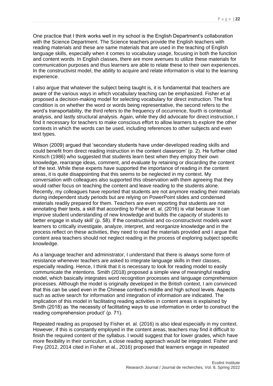One practice that I think works well in my school is the English Department's collaboration with the Science Department. The Science teachers provide the English teachers with reading materials and these are same materials that are used in the teaching of English language skills, especially when it comes to vocabulary usage, focusing in both the function and content words. In English classes, there are more avenues to utilize these materials for communication purposes and thus learners are able to relate these to their own experiences. In the constructivist model, the ability to acquire and relate information is vital to the learning experience.

I also argue that whatever the subject being taught is, it is fundamental that teachers are aware of the various ways in which vocabulary teaching can be emphasized. Fisher et al proposed a decision-making model for selecting vocabulary for direct instruction. The first condition is on whether the word or words being representative, the second refers to the word's transportability, the third refers to the frequency of occurrence, fourth is contextual analysis, and lastly structural analysis. Again, while they did advocate for direct instruction, I find it necessary for teachers to make conscious effort to allow learners to explore the other contexts in which the words can be used, including references to other subjects and even text types.

Wilson (2009) argued that 'secondary students have under-developed reading skills and could benefit from direct reading instruction in the content classroom' (p. 2). He further cited Kintsch (1986) who suggested that students learn best when they employ their own knowledge, rearrange ideas, comment, and evaluate by retaining or discarding the content of the text. While these experts have supported the importance of reading in the content areas, it is quite disappointing that this seems to be neglected in my context. My conversation with colleagues also supported this observation with them agreeing that they would rather focus on teaching the content and leave reading to the students alone. Recently, my colleagues have reported that students are not anymore reading their materials during independent study periods but are relying on PowerPoint slides and condensed materials readily prepared for them. Teachers are even reporting that students are not annotating their texts, a skill that according to Fisher et. al. (2016) is vital because 'it can improve student understanding of new knowledge and builds the capacity of students to better engage in study skill' (p. 58). If the constructivist and co-constructivist models want learners to critically investigate, analyze, interpret, and reorganize knowledge and in the process reflect on these activities, they need to read the materials provided and I argue that content area teachers should not neglect reading in the process of exploring subject specific knowledge.

As a language teacher and administrator, I understand that there is always some form of resistance whenever teachers are asked to integrate language skills in their classes, especially reading. Hence, I think that it is necessary to look for reading model to easily communicate the intentions. Smith (2018) proposed a simple view of meaningful reading model, which basically integrates word recognition processes and language comprehension processes. Although the model is originally developed in the British context, I am convinced that this can be used even in the Chinese context's middle and high school levels. Aspects such as active search for information and integration of information are indicated. The implication of this model in facilitating reading activities in content areas is explained by Smith (2018) as 'the necessity of facilitating ways to use information in order to construct the reading comprehension product' (p. 71).

Repeated reading as proposed by Fisher et. al. (2016) is also ideal especially in my context. However, if this is constantly employed in the content areas, teachers may find it difficult to finish the required content of the syllabus. I would suggest that for lower grades, which have more flexibility in their curriculum, a close reading approach would be integrated. Fisher and Frey (2012, 2014 cited in Fisher et al., 2016) proposed that learners engage in repeated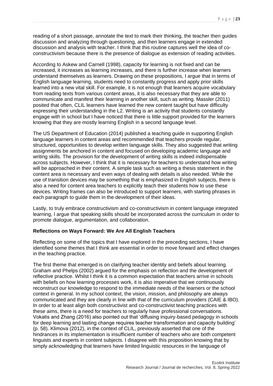reading of a short passage, annotate the text to mark their thinking, the teacher then guides discussion and analyzing through questioning, and then learners engage in extended discussion and analysis with teacher. I think that this routine captures well the idea of coconstructivism because there is the presence of dialogue as extension of reading activities.

According to Askew and Carnell (1998), capacity for learning is not fixed and can be increased, it increases as learning increases, and there is further increase when learners understand themselves as learners. Drawing on these propositions, I argue that in terms of English language learning, students need to constantly progress and apply prior skills learned into a new vital skill. For example, it is not enough that learners acquire vocabulary from reading texts from various content areas, it is also necessary that they are able to communicate and manifest their learning in another skill, such as writing. Massler (2011) posited that often, CLIL learners have learned the new content taught but have difficulty expressing their understanding in the L2. Writing is an activity that students constantly engage with in school but I have noticed that there is little support provided for the learners knowing that they are mostly learning English in a second language level.

The US Department of Education (2014) published a teaching guide in supporting English language learners in content areas and recommended that teachers provide regular, structured, opportunities to develop written language skills. They also suggested that writing assignments be anchored in content and focused on developing academic language and writing skills. The provision for the development of writing skills is indeed indispensable across subjects. However, I think that it is necessary for teachers to understand how writing will be approached in their content. A simple task such as writing a thesis statement in the content area is necessary and even ways of dealing with details is also needed. While the use of transition devices may be something that is emphasized in English subjects, there is also a need for content area teachers to explicitly teach their students how to use these devices. Writing frames can also be introduced to support learners, with starting phrases in each paragraph to guide them in the development of their ideas.

Lastly, to truly embrace constructivism and co-constructivism in content language integrated learning, I argue that speaking skills should be incorporated across the curriculum in order to promote dialogue, argumentation, and collaboration.

#### **Reflections on Ways Forward: We Are All English Teachers**

Reflecting on some of the topics that I have explored in the preceding sections, I have identified some themes that I think are essential in order to move forward and effect changes in the teaching practice.

The first theme that emerged is on clarifying teacher identity and beliefs about learning. Graham and Phelps (2002) argued for the emphasis on reflection and the development of reflective practice. Whilst I think it is a common expectation that teachers arrive in schools with beliefs on how learning processes work, it is also imperative that we continuously reconstruct our knowledge to respond to the immediate needs of the learners or the school context in general. In my school context, the vision, mission, and philosophy are always communicated and they are clearly in line with that of the curriculum providers (CAIE & IBO). In order to at least align both constructivist and co-constructivist teaching practices with these aims, there is a need for teachers to regularly have professional conversations. Vokatis and Zhang (2016) also pointed out that 'diffusing inquiry-based pedagogy in schools for deep learning and lasting change requires teacher transformation and capacity building' (p. 58). Klimova (2012), in the context of CLIL, previously asserted that one of the hindrances in its implementation is insufficient number of teachers who are both competent linguists and experts in content subjects. I disagree with this proposition knowing that by simply acknowledging that learners have limited linguistic resources in the language of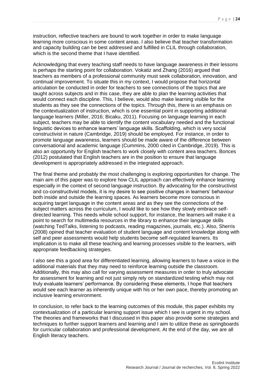instruction, reflective teachers are bound to work together in order to make language learning more conscious in some content areas. I also believe that teacher transformation and capacity building can be best addressed and fulfilled in CLIL through collaboration, which is the second theme that I have identified.

Acknowledging that every teaching staff needs to have language awareness in their lessons is perhaps the starting point for collaboration. Vokatiz and Zhang (2016) argued that teachers as members of a professional community must seek collaboration, innovation, and continual improvement. To situate this in my context, I would propose that horizontal articulation be conducted in order for teachers to see connections of the topics that are taught across subjects and in this case, they are able to plan the learning activities that would connect each discipline. This, I believe, would also make learning visible for the students as they see the connections of the topics. Through this, there is an emphasis on the contextualization of instruction, which is one essential point in supporting additional language learners (Miller, 2016; Bicaku, 2011). Focusing on language learning in each subject, teachers may be able to identify the content vocabulary needed and the functional linguistic devices to enhance learners' language skills. Scaffolding, which is very social constructivist in nature (Cambridge, 2019) should be employed. For instance, in order to promote language awareness, learners should be made aware of the difference between conversational and academic language (Cummins, 2000 cited in Cambridge, 2019). This is also an opportunity for English teachers to work closely with content area teachers. Bonces (2012) postulated that English teachers are in the position to ensure that language development is appropriately addressed in the integrated approach.

The final theme and probably the most challenging is exploring opportunities for change. The main aim of this paper was to explore how CLIL approach can effectively enhance learning especially in the context of second language instruction. By advocating for the constructivist and co-constructivist models, it is my desire to see positive changes in learners' behaviour both inside and outside the learning spaces. As learners become more conscious in acquiring target language in the content areas and as they see the connections of the subject matters across the curriculum, I would like to see how they slowly embrace selfdirected learning. This needs whole school support, for instance, the learners will make it a point to search for multimedia resources in the library to enhance their language skills (watching TedTalks, listening to podcasts, reading magazines, journals, etc.). Also, Sherris (2008) opined that teacher evaluation of student language and content knowledge along with self and peer assessments would help students become self-regulated learners. Its implication is to make all these teaching and learning processes visible to the learners, with appropriate feedbacking strategies.

I also see this a good area for differentiated learning, allowing learners to have a voice in the additional materials that they may need to reinforce learning outside the classroom. Additionally, this may also call for varying assessment measures in order to truly advocate for assessment for learning and not just simply rely on standardized testing which may not truly evaluate learners' performance. By considering these elements, I hope that teachers would see each learner as inherently unique with his or her own pace, thereby promoting an inclusive learning environment.

In conclusion, to refer back to the learning outcomes of this module, this paper exhibits my contextualization of a particular learning support issue which I see is urgent in my school. The theories and frameworks that I discussed in this paper also provide some strategies and techniques to further support learners and learning and I aim to utilize these as springboards for curricular collaboration and professional development. At the end of the day, we are all English literacy teachers.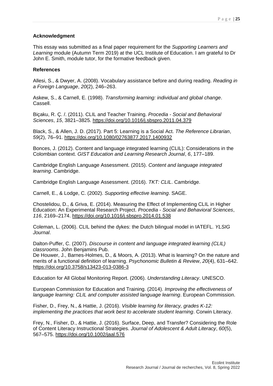#### **Acknowledgment**

This essay was submitted as a final paper requirement for the *Supporting Learners and Learning* module (Autumn Term 2019) at the UCL Institute of Education. I am grateful to Dr John E. Smith, module tutor, for the formative feedback given.

#### **References**

Allesi, S., & Dwyer, A. (2008). Vocabulary assistance before and during reading. *Reading in a Foreign Language*, *20*(2), 246–263.

Askew, S., & Carnell, E. (1998). *Transforming learning: individual and global change*. Cassell.

Biçaku, R. Ç. /. (2011). CLIL and Teacher Training. *Procedia - Social and Behavioral Sciences*, *15*, 3821–3825.<https://doi.org/10.1016/j.sbspro.2011.04.379>

Black, S., & Allen, J. D. (2017). Part 5: Learning is a Social Act. *The Reference Librarian*, *59*(2), 76–91.<https://doi.org/10.1080/02763877.2017.1400932>

Bonces, J. (2012). Content and language integrated learning (CLIL): Considerations in the Colombian context. *GIST Education and Learning Research Journal*, *6*, 177–189.

Cambridge English Language Assessment. (2015). *Content and language integrated learning*. Cambridge.

Cambridge English Language Assessment. (2016). *TKT: CLIL*. Cambridge.

Carnell, E., & Lodge, C. (2002). *Supporting effective learning*. SAGE.

Chostelidou, D., & Griva, E. (2014). Measuring the Effect of Implementing CLIL in Higher Education: An Experimental Research Project. *Procedia - Social and Behavioral Sciences*, *116*, 2169–2174.<https://doi.org/10.1016/j.sbspro.2014.01.538>

Coleman, L. (2006). CLIL behind the dykes: the Dutch bilingual model in IATEFL. *YLSIG Journal*.

Dalton-Puffer, C. (2007). *Discourse in content and language integrated learning (CLIL) classrooms*. John Benjamins Pub.

De Houwer, J., Barnes-Holmes, D., & Moors, A. (2013). What is learning? On the nature and merits of a functional definition of learning. *Psychonomic Bulletin & Review*, *20*(4), 631–642. <https://doi.org/10.3758/s13423-013-0386-3>

Education for All Global Monitoring Report. (2006). *Understanding Literacy*. UNESCO.

European Commission for Education and Training. (2014). *Improving the effectiveness of language learning: CLIL and computer assisted language learning*. European Commission.

Fisher, D., Frey, N., & Hattie, J. (2016). *Visible learning for literacy, grades K-12: implementing the practices that work best to accelerate student learning*. Corwin Literacy.

Frey, N., Fisher, D., & Hattie, J. (2016). Surface, Deep, and Transfer? Considering the Role of Content Literacy Instructional Strategies. *Journal of Adolescent & Adult Literacy*, *60*(5), 567–575.<https://doi.org/10.1002/jaal.576>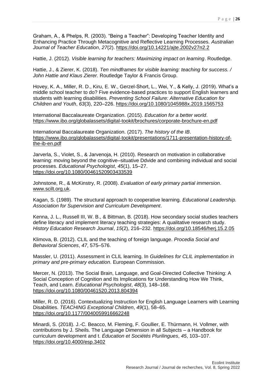Graham, A., & Phelps, R. (2003). "Being a Teacher": Developing Teacher Identity and Enhancing Practice Through Metacognitive and Reflective Learning Processes. *Australian Journal of Teacher Education*, *27*(2).<https://doi.org/10.14221/ajte.2002v27n2.2>

Hattie, J. (2012). *Visible learning for teachers: Maximizing impact on learning*. Routledge.

Hattie, J., & Zierer, K. (2018). *Ten mindframes for visible learning: teaching for success. / John Hattie and Klaus Zierer.* Routledge Taylor & Francis Group.

Hovey, K. A., Miller, R. D., Kiru, E. W., Gerzel-Short, L., Wei, Y., & Kelly, J. (2019). What's a middle school teacher to do? Five evidence-based practices to support English learners and students with learning disabilities. *Preventing School Failure: Alternative Education for Children and Youth*, *63*(3), 220–226.<https://doi.org/10.1080/1045988x.2019.1565753>

International Baccalaureate Organization. (2015). *Education for a better world*. <https://www.ibo.org/globalassets/digital-tookit/brochures/corporate-brochure-en.pdf>

International Baccalaureate Organization. (2017). *The history of the IB*. [https://www.ibo.org/globalassets/digital-tookit/presentations/1711-presentation-history-of](https://www.ibo.org/globalassets/digital-tookit/presentations/1711-presentation-history-of-the-ib-en.pdf)[the-ib-en.pdf](https://www.ibo.org/globalassets/digital-tookit/presentations/1711-presentation-history-of-the-ib-en.pdf)

Jarverla, S., Violet, S., & Jarvenoja, H. (2010). Research on motivation in collaborative learning: moving beyond the cognitive–situative Ddvide and combining individual and social processes. *Educational Psychologist*, *45*(1), 15–27. <https://doi.org/10.1080/00461520903433539>

Johnstone, R., & McKinstry, R. (2008). *Evaluation of early primary partial immersion*. [www.scilt.org.uk.](http://www.scilt.org.uk/)

Kagan, S. (1989). The structural approach to cooperative learning. *Educational Leadership. Association for Supervision and Curriculum Development*.

Kenna, J. L., Russell III, W. B., & Bittman, B. (2018). How secondary social studies teachers define literacy and implement literacy teaching strategies: A qualitative research study. *History Education Research Journal*, *15*(2), 216–232.<https://doi.org/10.18546/herj.15.2.05>

Klimova, B. (2012). CLIL and the teaching of foreign language. *Procedia Social and Behavioral Sciences*, *47*, 575–576.

Massler, U. (2011). Assessment in CLIL learning. In *Guidelines for CLIL implementation in primary and pre-primary education*. European Commission.

Mercer, N. (2013). The Social Brain, Language, and Goal-Directed Collective Thinking: A Social Conception of Cognition and Its Implications for Understanding How We Think, Teach, and Learn. *Educational Psychologist*, *48*(3), 148–168. <https://doi.org/10.1080/00461520.2013.804394>

Miller, R. D. (2016). Contextualizing Instruction for English Language Learners with Learning Disabilities. *TEACHING Exceptional Children*, *49*(1), 58–65. <https://doi.org/10.1177/0040059916662248>

Minardi, S. (2018). J.-C. Beacco, M. Fleming, F. Goullier, E. Thürmann, H. Vollmer, with contributions by J. Sheils. The Language Dimension in all Subjects – a Handbook for curriculum development and t. *Éducation et Sociétés Plurilingues*, *45*, 103–107. <https://doi.org/10.4000/esp.3402>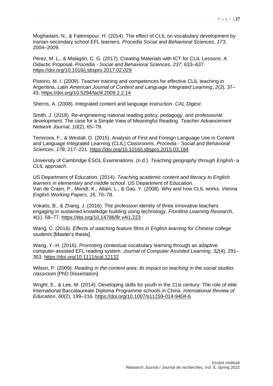Moghadam, N., & Fatemipour, H. (2014). The effect of CLIL on vocabulary development by Iranian secondary school EFL learners. *Procedia Social and Behavioral Sciences*, *173*, 2004–2009.

Pérez, M. L., & Malagón, C. G. (2017). Creating Materials with ICT for CLIL Lessons: A Didactic Proposal. *Procedia - Social and Behavioral Sciences*, *237*, 633–637. <https://doi.org/10.1016/j.sbspro.2017.02.029>

Pistorio, M. I. (2009). Teacher training and competences for effective CLIL teaching in Argentina. *Latin American Journal of Content and Language Integrated Learning*, *2*(2), 37– 43.<https://doi.org/10.5294/laclil.2009.2.2.14>

Sherris, A. (2008). Integrated content and language instruction. *CAL Digest*.

Smith, J. (2018). Re-engineering national reading policy, pedagogy, and professional development: The case for a Simple View of Meaningful Reading. *Teacher Advancement Network Journal*, *10*(2), 65–79.

Temirova, F., & Westall, D. (2015). Analysis of First and Foreign Language Use in Content and Language Integrated Learning (CLIL) Classrooms. *Procedia - Social and Behavioral Sciences*, *178*, 217–221.<https://doi.org/10.1016/j.sbspro.2015.03.184>

University of Cambridge ESOL Examinations. (n.d.). *Teaching geography through English- a CLIL approach*.

US Department of Education. (2014). *Teaching academic content and literacy to English learners in elementary and middle school*. US Department of Education. Van de Craen, P., Mondt, K., Allain, L., & Gao, Y. (2008). Why and how CLIL works. *Vienna English Working Papers*, *16*, 70–78.

Vokatis, B., & Zhang, J. (2016). The profession identity of three innovative teachers engaging in sustained knowledge building using technology. *Frontline Learning Research*, *4*(1), 58–77.<https://doi.org/10.14786/flr.v4i1.223>

Wang, C. (2016). *Effects of watching feature films in English learning for Chinese college students* [Master's thesis].

Wang, Y.-H. (2016). Promoting contextual vocabulary learning through an adaptive computer-assisted EFL reading system. *Journal of Computer Assisted Learning*, *32*(4), 291– 303.<https://doi.org/10.1111/jcal.12132>

Wilson, P. (2009). *Reading in the content area: Its impact on teaching in the social studies classroom* [PhD Dissertation].

Wright, E., & Lee, M. (2014). Developing skills for youth in the 21st century: The role of elite International Baccalaureate Diploma Programme schools in China. *International Review of Education*, *60*(2), 199–216.<https://doi.org/10.1007/s11159-014-9404-6>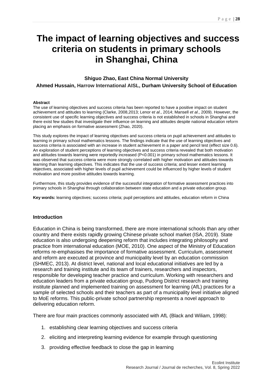# <span id="page-28-0"></span>**The impact of learning objectives and success criteria on students in primary schools in Shanghai, China**

### <span id="page-28-2"></span><span id="page-28-1"></span>**Shiguo Zhao, East China Normal University Ahmed Hussain, Harrow International AISL, Durham University School of Education**

#### **Abstract**

The use of learning objectives and success criteria has been reported to have a positive impact on student achievement and attitudes to learning (Clarke, 2008,2013; Lenor e*t al*., 2014; Mansell *et al*., 2009). However, the consistent use of specific learning objectives and success criteria is not established in schools in Shanghai and there exist few studies that investigate their influence on learning and attitudes despite national education reform placing an emphasis on formative assessment (Zhao, 2020).

This study explores the impact of learning objectives and success criteria on pupil achievement and attitudes to learning in primary school mathematics lessons. The findings indicate that the use of learning objectives and success criteria is associated with an increase in student achievement in a paper and pencil test (effect size 0.6). An exploration of student perceptions of learning objectives and success criteria revealed that both motivation and attitudes towards learning were reportedly increased (P<0.001) in primary school mathematics lessons. It was observed that success criteria were more strongly correlated with higher motivation and attitudes towards learning than learning objectives. This indicates that the use of success criteria; and lesser extent learning objectives, associated with higher levels of pupil achievement could be influenced by higher levels of student motivation and more positive attitudes towards learning.

Furthermore, this study provides evidence of the successful integration of formative assessment practices into primary schools in Shanghai through collaboration between state education and a private education group.

**Key words:** learning objectives; success criteria; pupil perceptions and attitudes, education reform in China

#### **Introduction**

Education in China is being transformed, there are more international schools than any other country and there exists rapidly growing Chinese private school market (ISA, 2019). State education is also undergoing deepening reform that includes integrating philosophy and practice from international education (MOE, 2010). One aspect of the Ministry of Education reforms re-emphasises the importance of formative assessment. Curriculum, assessment and reform are executed at province and municipality level by an education commission (SHMEC, 2013). At district level, national and local educational initiatives are led by a research and training institute and its team of trainers, researchers and inspectors, responsible for developing teacher practice and curriculum. Working with researchers and education leaders from a private education group, Pudong District research and training institute planned and implemented training on assessment for learning (AfL) practices for a sample of selected schools and their teachers as part of a municipality level initiative aligned to MoE reforms. This public-private school partnership represents a novel approach to delivering education reform.

There are four main practices commonly associated with AfL (Black and Wiliam, 1998):

- 1. establishing clear learning objectives and success criteria
- 2. eliciting and interpreting learning evidence for example through questioning
- 3. providing effective feedback to close the gap in learning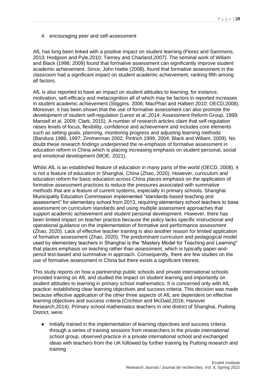4. encouraging peer and self-assessment

AfL has long been linked with a positive impact on student learning (Florez and Sammons, 2013; Hodgson and Pyle,2010; Tierney and Charland,2007). The seminal work of Wiliam and Black (1998; 2009) found that formative assessment can significantly improve student academic achievement. Since, John Hattie (2008), found that formative assessment in the classroom had a significant impact on student academic achievement, ranking fifth among all factors.

AfL is also reported to have an impact on student attitudes to learning; for instance, motivation, self-efficacy and metacognition all of which may be factors in reported increases in student academic achievement (Stiggins, 2006; MacPhail and Halbert 2010; OECD,2008). Moreover, it has been shown that the use of formative assessment can also promote the development of student self-regulation (Lenor *et al*.,2014; Assessment Reform Group, 1999; Mansell et al. 2009; Clark, 2015). A number of research articles claim that self-regulation raises levels of focus, flexibility, confidence and achievement and includes core elements such as setting goals, planning, monitoring progress and adjusting learning methods (Bandura 1986, 1997; Zimmerman 2002; Pintrich 1999, 2004; Black and Wiliam, 2009). No doubt these research findings underpinned the re-emphasis of formative assessment in education reform in China which is placing increasing emphasis on student personal, social and emotional development (MOE, 2021).

Whilst AfL is an established feature of education in many parts of the world (OECD, 2008), it is not a feature of education in Shanghai, China (Zhao, 2020). However, curriculum and education reform for basic education across China places emphasis on the application of formative assessment practices to reduce the pressures associated with summative methods that are a feature of current systems, especially in primary schools. Shanghai Municipality Education Commission implemented "standards-based teaching and assessment" for elementary school from 2013, requiring elementary school teachers to base assessment on curriculum standards and using multiple assessment approaches that support academic achievement and student personal development. However, there has been limited impact on teacher practice because the policy lacks specific instructional and operational guidance on the implementation of formative and performance assessment (Zhao, 2020). Lack of effective teacher training is also another reason for limited application of formative assessment (Zhao, 2020). The predominant curriculum and pedagogical model used by elementary teachers in Shanghai is the "Mastery Model for Teaching and Learning" that places emphasis on teaching rather than assessment, which is typically paper-andpencil test-based and summative in approach. Consequently, there are few studies on the use of formative assessment in China but there exists a significant interest.

This study reports on how a partnership public schools and private international schools provided training on AfL and studied the impact on student learning and importantly on student attitudes to learning in primary school mathematics. It is concerned only with AfL practice: establishing clear learning objectives and success criteria. This decision was made because effective application of the other three aspects of AfL are dependent on effective learning objectives and success criteria (Crichton and McDaid,2016; Hanover Research,2014). Primary school mathematics teachers in one district of Shanghai, Pudong District, were:

Initially trained in the implementation of learning objectives and success criteria through a series of training sessions from researchers in the private international school group, observed practice in a private international school and exchanged ideas with teachers from the UK followed by further training by Pudong research and training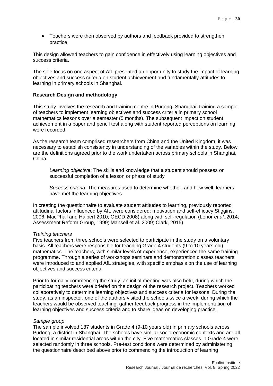● Teachers were then observed by authors and feedback provided to strengthen practice

This design allowed teachers to gain confidence in effectively using learning objectives and success criteria.

The sole focus on one aspect of AfL presented an opportunity to study the impact of learning objectives and success criteria on student achievement and fundamentally attitudes to learning in primary schools in Shanghai.

#### **Research Design and methodology**

This study involves the research and training centre in Pudong, Shanghai, training a sample of teachers to implement learning objectives and success criteria in primary school mathematics lessons over a semester (5 months). The subsequent impact on student achievement in a paper and pencil test along with student reported perceptions on learning were recorded.

As the research team comprised researchers from China and the United Kingdom, it was necessary to establish consistency in understanding of the variables within the study. Below are the definitions agreed prior to the work undertaken across primary schools in Shanghai, China.

*Learning objective*: The skills and knowledge that a student should possess on successful completion of a lesson or phase of study

*Success criteria*: The measures used to determine whether, and how well, learners have met the learning objectives.

In creating the questionnaire to evaluate student attitudes to learning, previously reported attitudinal factors influenced by AfL were considered: motivation and self-efficacy Stiggins, 2006; MacPhail and Halbert 2010; OECD,2008) along with self-regulation (Lenor *et al*.,2014; Assessment Reform Group, 1999; Mansell et al. 2009; Clark, 2015).

#### *Training teachers*

Five teachers from three schools were selected to participate in the study on a voluntary basis. All teachers were responsible for teaching Grade 4 students (9 to 10 years old) mathematics. The teachers, with similar levels of experience, experienced the same training programme. Through a series of workshops seminars and demonstration classes teachers were introduced to and applied AfL strategies, with specific emphasis on the use of learning objectives and success criteria.

Prior to formally commencing the study, an initial meeting was also held, during which the participating teachers were briefed on the design of the research project. Teachers worked collaboratively to determine learning objectives and success criteria for lessons. During the study, as an inspector, one of the authors visited the schools twice a week, during which the teachers would be observed teaching, gather feedback progress in the implementation of learning objectives and success criteria and to share ideas on developing practice.

#### *Sample group*

The sample involved 187 students in Grade 4 (9-10 years old) in primary schools across Pudong, a district in Shanghai. The schools have similar socio-economic contexts and are all located in similar residential areas within the city. Five mathematics classes in Grade 4 were selected randomly in three schools. Pre-test conditions were determined by administering the questionnaire described above prior to commencing the introduction of learning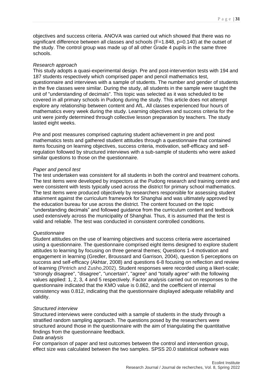objectives and success criteria. ANOVA was carried out which showed that there was no significant difference between all classes and schools (F=1.848, p=0.140) at the outset of the study. The control group was made up of all other Grade 4 pupils in the same three schools.

#### *Research approach*

This study adopts a quasi-experimental design. Pre and post-intervention tests with 194 and 187 students respectively which comprised paper and pencil mathematics test, questionnaire and interviews with a sample of students. The number and gender of students in the five classes were similar. During the study, all students in the sample were taught the unit of "understanding of decimals". This topic was selected as it was scheduled to be covered in all primary schools in Pudong during the study. This article does not attempt explore any relationship between content and AfL. All classes experienced four hours of mathematics every week during the study. Learning objectives and success criteria for the unit were jointly determined through collective lesson preparation by teachers. The study lasted eight weeks.

Pre and post measures comprised capturing student achievement in pre and post mathematics tests and gathered student attitudes through a questionnaire that contained items focusing on learning objectives, success criteria, motivation, self-efficacy and selfregulation followed by structured interviews with a sub-sample of students who were asked similar questions to those on the questionnaire.

#### *Paper and pencil test*

The test undertaken was consistent for all students in both the control and treatment cohorts. The test items were developed by inspectors at the Pudong research and training centre and were consistent with tests typically used across the district for primary school mathematics. The test items were produced objectively by researchers responsible for assessing student attainment against the curriculum framework for Shanghai and was ultimately approved by the education bureau for use across the district. The content focused on the topic "understanding decimals" and followed guidance from the curriculum content and textbook used extensively across the municipality of Shanghai. Thus, it is assumed that the test is valid and reliable. The test was conducted in consistent controlled conditions.

#### *Questionnaire*

Student attitudes on the use of learning objectives and success criteria were ascertained using a questionnaire. The questionnaire comprised eight items designed to explore student attitudes to learning by focusing on three general themes; Questions 1-4 motivation and engagement in learning (Gredler, Broussard and Garrison, 2004), question 5 perceptions on success and self-efficacy (Akhtar, 2008) and questions 6-8 focusing on reflection and review of learning (Pintrich and Zusho,2002). Student responses were recorded using a likert-scale; "strongly disagree", "disagree", "uncertain", "agree" and "totally agree" with the following values applied: 1, 2, 3, 4 and 5 respectively. Factor analysis carried out on responses to the questionnaire indicated that the KMO value is 0.862, and the coefficient of internal consistency was 0.812, indicating that the questionnaire displayed adequate reliability and validity.

#### *Structured interview*

Structured interviews were conducted with a sample of students in the study through a stratified random sampling approach. The questions posed by the researchers were structured around those in the questionnaire with the aim of triangulating the quantitative findings from the questionnaire feedback.

#### *Data analysis*

For comparison of paper and test outcomes between the control and intervention group, effect size was calculated between the two samples. SPSS 20.0 statistical software was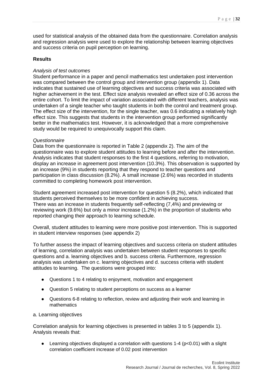used for statistical analysis of the obtained data from the questionnaire. Correlation analysis and regression analysis were used to explore the relationship between learning objectives and success criteria on pupil perception on learning.

#### **Results**

#### *Analysis of test outcomes*

Student performance in a paper and pencil mathematics test undertaken post intervention was compared between the control group and intervention group (appendix 1). Data indicates that sustained use of learning objectives and success criteria was associated with higher achievement in the test. Effect size analysis revealed an effect size of 0.36 across the entire cohort. To limit the impact of variation associated with different teachers, analysis was undertaken of a single teacher who taught students in both the control and treatment group. The effect size of the intervention, for the single teacher, was 0.6 indicating a relatively high effect size. This suggests that students in the intervention group performed significantly better in the mathematics test. However, it is acknowledged that a more comprehensive study would be required to unequivocally support this claim.

#### *Questionnaire*

Data from the questionnaire is reported in Table 2 (appendix 2). The aim of the questionnaire was to explore student attitudes to learning before and after the intervention. Analysis indicates that student responses to the first 4 questions, referring to motivation, display an increase in agreement post intervention (10.3%). This observation is supported by an increase (9%) in students reporting that they respond to teacher questions and participation in class discussion (8.2%). A small increase (2.6%) was recorded in students committed to completing homework post intervention.

Student agreement increased post intervention for question 5 (8.2%), which indicated that students perceived themselves to be more confident in achieving success. There was an increase in students frequently self-reflecting (7,4%) and previewing or reviewing work (9.6%) but only a minor increase (1.2%) in the proportion of students who reported changing their approach to learning schedule.

Overall, student attitudes to learning were more positive post intervention. This is supported in student interview responses (see appendix 2)

To further assess the impact of learning objectives and success criteria on student attitudes of learning, correlation analysis was undertaken between student responses to specific questions and a. learning objectives and b. success criteria. Furthermore, regression analysis was undertaken on c. learning objectives and d. success criteria with student attitudes to learning. The questions were grouped into:

- Questions 1 to 4 relating to enjoyment, motivation and engagement
- Question 5 relating to student perceptions on success as a learner
- Questions 6-8 relating to reflection, review and adjusting their work and learning in mathematics

#### a. Learning objectives

Correlation analysis for learning objectives is presented in tables 3 to 5 (appendix 1). Analysis reveals that:

Learning objectives displayed a correlation with questions  $1-4$  (p $< 0.01$ ) with a slight correlation coefficient increase of 0.02 post intervention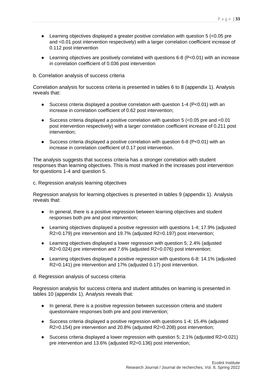- $\bullet$  Learning objectives displayed a greater positive correlation with question 5 ( $<$ 0.05 pre and <0.01 post intervention respectively) with a larger correlation coefficient increase of 0.112 post intervention
- Learning objectives are positively correlated with questions 6-8 (P<0.01) with an increase in correlation coefficient of 0.036 post intervention

b. Correlation analysis of success criteria

Correlation analysis for success criteria is presented in tables 6 to 8 (appendix 1). Analysis reveals that:

- Success criteria displayed a positive correlation with question 1-4 (P<0.01) with an increase in correlation coefficient of 0.62 post intervention;
- Success criteria displayed a positive correlation with question  $5$  (<0.05 pre and <0.01 post intervention respectively) with a larger correlation coefficient increase of 0.211 post intervention;
- Success criteria displayed a positive correlation with question 6-8 (P<0.01) with an increase in correlation coefficient of 0.17 post intervention.

The analysis suggests that success criteria has a stronger correlation with student responses than learning objectives. This is most marked in the increases post intervention for questions 1-4 and question 5.

c. Regression analysis learning objectives

Regression analysis for learning objectives is presented in tables 9 (appendix 1). Analysis reveals that:

- In general, there is a positive regression between learning objectives and student responses both pre and post intervention;
- Learning objectives displayed a positive regression with questions 1-4; 17.9% (adjusted R2=0.179) pre intervention and 19.7% (adjusted R2=0.197) post intervention;
- Learning objectives displayed a lower regression with question 5; 2.4% (adjusted R2=0.024) pre intervention and 7.6% (adjusted R2=0.076) post intervention;
- Learning objectives displayed a positive regression with questions 6-8: 14.1% (adjusted R2=0.141) pre intervention and 17% (adjusted 0.17) post intervention.

d. Regression analysis of success criteria

Regression analysis for success criteria and student attitudes on learning is presented in tables 10 (appendix 1). Analysis reveals that:

- In general, there is a positive regression between succession criteria and student questionnaire responses both pre and post intervention;
- Success criteria displayed a positive regression with questions 1-4; 15.4% (adjusted R2=0.154) pre intervention and 20.8% (adjusted R2=0.208) post intervention;
- Success criteria displayed a lower regression with question 5: 2.1% (adjusted R2=0.021) pre intervention and 13.6% (adjusted R2=0.136) post intervention;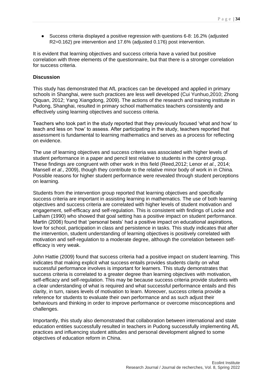● Success criteria displayed a positive regression with questions 6-8: 16.2% (adjusted R2=0.162) pre intervention and 17.6% (adjusted 0.176) post intervention.

It is evident that learning objectives and success criteria have a varied but positive correlation with three elements of the questionnaire, but that there is a stronger correlation for success criteria.

#### **Discussion**

This study has demonstrated that AfL practices can be developed and applied in primary schools in Shanghai, were such practices are less well developed (Cui Yunhuo,2010; Zhong Qiquan, 2012; Yang Xiangdong, 2009). The actions of the research and training institute in Pudong, Shanghai, resulted in primary school mathematics teachers consistently and effectively using learning objectives and success criteria.

Teachers who took part in the study reported that they previously focused 'what and how' to teach and less on 'how' to assess. After participating in the study, teachers reported that assessment is fundamental to learning mathematics and serves as a process for reflecting on evidence.

The use of learning objectives and success criteria was associated with higher levels of student performance in a paper and pencil test relative to students in the control group. These findings are congruent with other work in this field (Reed,2012; Lenor *et al*., 2014; Mansell *et al*., 2009), though they contribute to the relative minor body of work in in China. Possible reasons for higher student performance were revealed through student perceptions on learning.

Students from the intervention group reported that learning objectives and specifically success criteria are important in assisting learning in mathematics. The use of both learning objectives and success criteria are correlated with higher levels of student motivation and engagement, self-efficacy and self-regulation. This is consistent with findings of Locke and Latham (1990) who showed that goal setting has a positive impact on student performance. Martin (2006) found that 'personal bests' had a positive impact on educational aspirations, love for school, participation in class and persistence in tasks. This study indicates that after the intervention, student understanding of learning objectives is positively correlated with motivation and self-regulation to a moderate degree, although the correlation between selfefficacy is very weak.

John Hattie (2009) found that success criteria had a positive impact on student learning. This indicates that making explicit what success entails provides students clarity on what successful performance involves is important for learners. This study demonstrates that success criteria is correlated to a greater degree than learning objectives with motivation, self-efficacy and self-regulation. This may be because success criteria provide students with a clear understanding of what is required and what successful performance entails and this clarity, in turn, raises levels of motivation to learn. Moreover, success criteria provide a reference for students to evaluate their own performance and as such adjust their behaviours and thinking in order to improve performance or overcome misconceptions and challenges.

Importantly, this study also demonstrated that collaboration between international and state education entities successfully resulted in teachers in Pudong successfully implementing AfL practices and influencing student attitudes and personal development aligned to some objectives of education reform in China.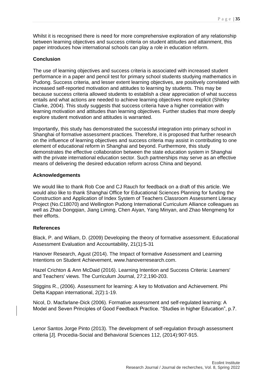Whilst it is recognised there is need for more comprehensive exploration of any relationship between learning objectives and success criteria on student attitudes and attainment, this paper introduces how international schools can play a role in education reform.

#### **Conclusion**

The use of learning objectives and success criteria is associated with increased student performance in a paper and pencil test for primary school students studying mathematics in Pudong. Success criteria, and lesser extent learning objectives, are positively correlated with increased self-reported motivation and attitudes to learning by students. This may be because success criteria allowed students to establish a clear appreciation of what success entails and what actions are needed to achieve learning objectives more explicit (Shirley Clarke, 2004). This study suggests that success criteria have a higher correlation with learning motivation and attitudes than learning objectives. Further studies that more deeply explore student motivation and attitudes is warranted.

Importantly, this study has demonstrated the successful integration into primary school in Shanghai of formative assessment practices. Therefore, it is proposed that further research on the influence of learning objectives and success criteria may assist in contributing to one element of educational reform in Shanghai and beyond. Furthermore, this study demonstrates the effective collaboration between the state education system in Shanghai with the private international education sector. Such partnerships may serve as an effective means of delivering the desired education reform across China and beyond.

#### **Acknowledgements**

We would like to thank Rob Coe and CJ Rauch for feedback on a draft of this article. We would also like to thank Shanghai Office for Educational Sciences Planning for funding the Construction and Application of Index System of Teachers Classroom Assessment Literacy Project (No.C18070) and Wellington Pudong International Curriculum Alliance colleagues as well as Zhao Dongqian, Jiang Liming, Chen Aiyan, Yang Minyan, and Zhao Mengmeng for their efforts.

#### **References**

Black, P. and Wiliam, D. (2009) Developing the theory of formative assessment. Educational Assessment Evaluation and Accountability, 21(1):5-31

Hanover Research, Agust (2014). The Impact of formative Assessment and Learning Intentions on Student Achievement, www.hanoverresearch.com.

Hazel Crichton & Ann McDaid (2016). Learning Intention and Success Criteria: Learners' and Teachers' views. The Curriculum Journal, 27:2,190-203.

Stiggins R., (2006). Assessment for learning: A key to Motivation and Achievement. Phi Delta Kappan international, 2(2):1-19.

Nicol, D. Macfarlane-Dick (2006). Formative assessment and self-regulated learning: A Model and Seven Principles of Good Feedback Practice. "Studies in higher Education", p.7.

Lenor Santos Jorge Pinto (2013). The development of self-regulation through assessment criteria [J]. Procedia-Social and Behavioral Sciences 112, (2014):907-915.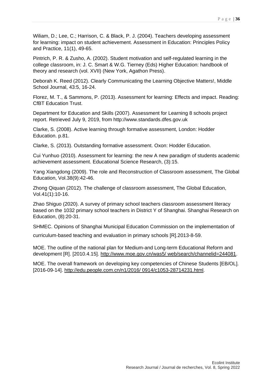Wiliam, D.; Lee, C.; Harrison, C. & Black, P. J. (2004). Teachers developing assessment for learning: impact on student achievement. Assessment in Education: Principles Policy and Practice, 11(1), 49-65.

Pintrich, P. R. & Zusho, A. (2002). Student motivation and self-regulated learning in the college classroom, in: J. C. Smart & W.G. Tierney (Eds) Higher Education: handbook of theory and research (vol. XVII) (New York, Agathon Press).

Deborah K. Reed (2012). Clearly Communicating the Learning Objective Matters!, Middle School Journal, 43:5, 16-24.

Florez, M. T., & Sammons, P. (2013). Assessment for learning: Effects and impact. Reading: CfBT Education Trust.

Department for Education and Skills (2007). Assessment for Learning 8 schools project report. Retrieved July 9, 2019, from http://www.standards.dfes.gov.uk

Clarke, S. (2008). Active learning through formative assessment, London: Hodder Education. p.81.

Clarke, S. (2013). Outstanding formative assessment. Oxon: Hodder Education.

Cui Yunhuo (2010). Assessment for learning: the new A new paradigm of students academic achievement assessment. Educational Science Research, (3):15.

Yang Xiangdong (2009). The role and Reconstruction of Classroom assessment, The Global Education, Vol.38(9):42-46.

Zhong Qiquan (2012). The challenge of classroom assessment, The Global Education, Vol.41(1):10-16.

Zhao Shiguo (2020). A survey of primary school teachers classroom assessment literacy based on the 1032 primary school teachers in District Y of Shanghai. Shanghai Research on Education, (8):20-31.

SHMEC. Opinions of Shanghai Municipal Education Commission on the implementation of

curriculum-based teaching and evaluation in primary schools [R].2013-8-59.

MOE. The outline of the national plan for Medium-and Long-term Educational Reform and development [R]. [2010.4.15]. [http://www.moe.gov.cn/was5/ web/search/channelid=244081.](http://www.moe.gov.cn/was5/%20web/search/channelid=244081)

MOE. The overall framework on developing key competencies of Chinese Students [EB/OL]. [2016-09-14]. [http://edu.people.com.cn/n1/2016/ 0914/c1053-28714231.html.](http://edu.people.com.cn/n1/2016/%200914/c1053-28714231.html)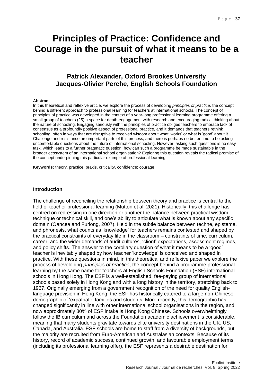# <span id="page-37-0"></span>**Principles of Practice: Confidence and Courage in the pursuit of what it means to be a teacher**

### <span id="page-37-1"></span>**Patrick Alexander, Oxford Brookes University Jacques-Olivier Perche, English Schools Foundation**

#### <span id="page-37-2"></span>**Abstract**

In this theoretical and reflexive article, we explore the process of developing *principles of practice*, the concept behind a different approach to professional learning for teachers at international schools. The concept of principles of practice was developed in the context of a year-long professional learning programme offering a small group of teachers (25) a space for depth-engagement with research and encouraging radical thinking about the nature of schooling. Engaging seriously with the principles of practice obliges teachers to embrace lack of consensus as a profoundly positive aspect of professional practice, and it demands that teachers rethink schooling, often in ways that are disruptive to received wisdom about what 'works' or what is 'good' about it. Challenge and resistance are important parts of this process, and there is perhaps no better time to be asking uncomfortable questions about the future of international schooling. However, asking such questions is no easy task, which leads to a further pragmatic question: how can such a programme be made sustainable in the broader ecosystem of an international school organisation? Exploring this question reveals the radical promise of the concept underpinning this particular example of professional learning.

**Keywords:** theory, practice, praxis, criticality, confidence; courage

#### **Introduction**

The challenge of reconciling the relationship between theory and practice is central to the field of teacher professional learning (Mutton et al, 2021). Historically, this challenge has centred on redressing in one direction or another the balance between practical wisdom, technique or technical skill, and one's ability to articulate what is known about any specific domain (Oancea and Furlong, 2007). Held in the subtle balance between techne, episteme, and phronesis, what counts as 'knowledge' for teachers remains contested and shaped by the practical constraints of everyday life in the classroom – constraints of time, curriculum, career, and the wider demands of audit cultures, 'client' expectations, assessment regimes, and policy shifts. The answer to the corollary question of what it means to be a 'good' teacher is inevitably shaped by how teacher 'knowledge' is conceived and shaped in practice. With these questions in mind, in this theoretical and reflexive paper we explore the process of developing *principles of practice*, the concept behind a programme professional learning by the same name for teachers at English Schools Foundation (ESF) international schools in Hong Kong. The ESF is a well-established, fee-paying group of international schools based solely in Hong Kong and with a long history in the territory, stretching back to 1967. Originally emerging from a government recognition of the need for quality Englishlanguage provision in Hong Kong, the ESF has historically catered to a large non-Chinese demographic of 'expatriate' families and students. More recently, this demographic has changed significantly in line with other international school organisations in the region, and now approximately 80% of ESF intake is Hong Kong Chinese. Schools overwhelmingly follow the IB curriculum and across the Foundation academic achievement is considerable, meaning that many students gravitate towards elite university destinations in the UK, US, Canada, and Australia. ESF schools are home to staff from a diversity of backgrounds, but the majority are recruited from Euro-American and Australasian contexts. Because of its history, record of academic success, continued growth, and favourable employment terms (including its professional learning offer), the ESF represents a desirable destination for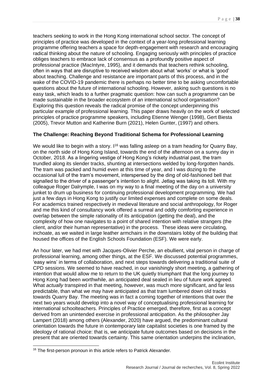teachers seeking to work in the Hong Kong international school sector. The concept of principles of practice was developed in the context of a year-long professional learning programme offering teachers a space for depth-engagement with research and encouraging radical thinking about the nature of schooling. Engaging seriously with principles of practice obliges teachers to embrace lack of consensus as a profoundly positive aspect of professional practice (MacIntyre, 1995), and it demands that teachers rethink schooling, often in ways that are disruptive to received wisdom about what 'works' or what is 'good' about teaching. Challenge and resistance are important parts of this process, and in the wake of the COVID-19 pandemic there is perhaps no better time to be asking uncomfortable questions about the future of international schooling. However, asking such questions is no easy task, which leads to a further pragmatic question: how can such a programme can be made sustainable in the broader ecosystem of an international school organisation? Exploring this question reveals the radical promise of the concept underpinning this particular example of professional learning. This paper draws heavily on the work of selected principles of practice programme speakers, including Etienne Wenger (1998), Gert Biesta (2005), Trevor Mutton and Katherine Burn (2021), Helen Gunter, (1997) and others.

### **The Challenge: Reaching Beyond Traditional Schema for Professional Learning**

We would like to begin with a story.  $1^{16}$  was falling asleep on a tram heading for Quarry Bay, on the north side of Hong Kong Island, towards the end of the afternoon on a sunny day in October, 2018. As a lingering vestige of Hong Kong's rickety industrial past, the tram trundled along its slender tracks, shunting at intersections welded by long-forgotten hands. The tram was packed and humid even at this time of year, and I was dozing to the occasional lull of the tram's movement, interspersed by the ding of old-fashioned bell that signalled to the driver of a passenger's intention to alight. Jetlag was taking its toll. With my colleague Roger Dalrymple, I was on my way to a final meeting of the day on a university junket to drum up business for continuing professional development programming. We had just a few days in Hong Kong to justify our limited expenses and complete on some deals. For academics trained respectively in medieval literature and social anthropology, for Roger and me this kind of consultancy work offered a surreal and oddly comforting experience in overlap between the simple rationality of its anticipation (getting the deal), and the complexity of how one navigates to a point of shared intention with relative strangers (the client, and/or their human representative) in the process. These ideas were circulating, inchoate, as we waited in large leather armchairs in the downstairs lobby of the building that housed the offices of the English Schools Foundation (ESF). We were early.

An hour later, we had met with Jacques-Olivier Perche, an ebullient, vital person in charge of professional learning, among other things, at the ESF. We discussed potential programmes, 'easy wins' in terms of collaboration, and next steps towards delivering a traditional suite of CPD sessions. We seemed to have reached, in our vanishingly short meeting, a gathering of intention that would allow me to return to the UK quietly triumphant that the long journey to Hong Kong had been worthwhile, an anticipated deal sealed in lieu of future work agreed. What *actually* transpired in that meeting, however, was much more significant, and far less predictable, than what we may have anticipated as that tram lumbered down old tracks towards Quarry Bay. The meeting was in fact a coming together of intentions that over the next two years would develop into a novel way of conceptualising professional learning for international schoolteachers. Principles of Practice emerged, therefore, first as a concept derived from an unintended exercise in professional anticipation. As the philosopher Jay Lampert (2018) among others (Alexander, 2020) have argued, the predominant cultural orientation towards the future in contemporary late capitalist societies is one framed by the ideology of rational choice: that is, we anticipate future outcomes based on decisions in the present that are oriented towards certainty. This same orientation underpins the inclination,

1

<sup>&</sup>lt;sup>16</sup> The first-person pronoun in this article refers to Patrick Alexander.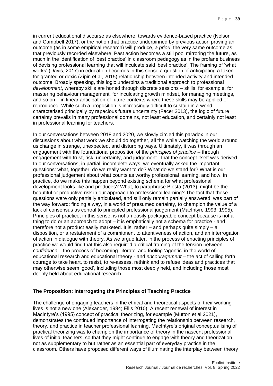in current educational discourse as elsewhere, towards evidence-based practice (Nelson and Campbell 2017), or the notion that practice underpinned by previous action proving an outcome (as in some empirical research) will produce, *a priori*, the very same outcome as that previously recorded elsewhere. Past action becomes a still pool mirroring the future, as much in the identification of 'best practice' in classroom pedagogy as in the profane business of devising professional learning that will inculcate said 'best practice'. The framing of 'what works' (Davis, 2017) in education becomes in this sense a question of anticipating a takenfor-granted or doxic (Zipin et al, 2015) relationship between intended activity and intended outcome. Broadly speaking, this logic underpins a traditional approach to professional *development*, whereby skills are honed through discrete sessions – skills, for example, for mastering behaviour management, for inculcating growth mindset, for managing meetings, and so on – in linear anticipation of future contexts where these skills may be applied or reproduced. While such a proposition is increasingly difficult to sustain in a world characterised principally by rapacious future uncertainty (Facer 2013), the logic of future certainty prevails in many professional domains, not least education, and certainly not least in professional learning for teachers.

In our conversations between 2018 and 2020, we slowly circled this paradox in our discussions about what work we should do together, all the while watching the world around us change in strange, unexpected, and disturbing ways. Ultimately, it was through an engagement with the foundational proposition of the *principles of practice –* through engagement with trust, risk, uncertainty, and judgement– that the concept itself was derived. In our conversations, in partial, incomplete ways, we eventually asked the important questions: what, together, do we really want to do? What do we stand for? What is our professional judgement about what counts as worthy professional learning, and how, in practice, do we make this happen beyond existing schema for what professional development looks like and produces? What, to paraphrase Biesta (2013), might be the beautiful or productive risk in our approach to professional learning? The fact that these questions were only partially articulated, and still only remain partially answered, was part of the way forward: finding a way, in a world of presumed certainty, to champion the value of a lack of consensus as central to principled professional judgement (MacIntyre 1993; 1995). Principles of practice, in this sense, is not an easily packageable concept because is not a thing to do or an approach to adopt – it is emphatically not a schema for practice - and therefore not a product easily marketed. It is, rather  $-$  and perhaps quite simply  $-$  a disposition, or a restatement of a commitment to attentiveness of action, and an interrogation of action in dialogue with theory. As we argue later, in the process of enacting principles of practice we would find that this also required a critical framing of the tension between *confidence* – the process of becoming 'literate' and feeling 'agentic' in the world of educational research and educational theory - and *encouragement* – the act of calling forth courage to take heart, to resist, to re-assess, rethink and to refuse ideas and practices that may otherwise seem 'good', including those most deeply held, and including those most deeply held about educational research.

#### **The Proposition: Interrogating the Principles of Teaching Practice**

The challenge of engaging teachers in the ethical and theoretical aspects of their working lives is not a new one (Alexander, 1984; Ellis 2010). A recent renewal of interest in MacIntyre's (1995) concept of practical theorizing, for example (Mutton et al 2021), demonstrates the continued importance of interrogating the relationship between research, theory, and practice in teacher professional learning. MacIntyre's original conceptualising of practical theorizing was to champion the importance of theory in the nascent professional lives of initial teachers, so that they might continue to engage with theory and theorization not as supplementary to but rather as an essential part of everyday practice in the classroom. Others have proposed different ways of illuminating the interplay between theory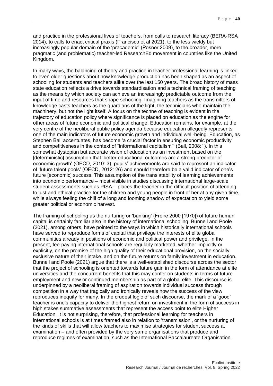and practice in the professional lives of teachers, from calls to research literacy (BERA-RSA 2014), to calls to enact critical praxis (Francisco et al 2021), to the less wieldy but increasingly popular domain of the 'pracademic' (Posner 2009), to the broader, more pragmatic (and problematic) teacher-led ResearchEd movement in countries like the United Kingdom.

In many ways, the balancing of theory and practice in teacher professional learning is linked to even older questions about how knowledge production has been shaped as an aspect of schooling for students and teachers alike over the last 150 years. The broad history of mass state education reflects a drive towards standardisation and a technical framing of teaching as the means by which society can achieve an increasingly predictable outcome from the input of time and resources that shape schooling. Imagining teachers as the transmitters of knowledge casts teachers as the guardians of the light, the technicians who maintain the machinery, but not the light itself. A focus on the techne of teaching is evident in the trajectory of education policy where significance is placed on education as the engine for other areas of future economic and political change. Education remains, for example, at the very centre of the neoliberal public policy agenda because education allegedly represents one of the main indicators of future economic growth and individual well-being. Education, as Stephen Ball accentuates, has become 'a crucial factor in ensuring economic productivity and competitiveness in the context of "informational capitalism"' (Ball, 2008:1). In this somewhat dystopian but accurate vision of education as an investment based on the [deterministic] assumption that 'better educational outcomes are a strong predictor of economic growth' (OECD, 2010: 3), pupils' achievements are said to represent an indicator of 'future talent pools' (OECD, 2012: 26) and should therefore be a valid indicator of one's future [economic] success. This assumption of the translatability of learning achievements into economic performance – most visible in studies discussing international large-scale student assessments such as PISA – places the teacher in the difficult position of attending to just and ethical practice for the children and young people in front of her at any given time, while always feeling the chill of a long and looming shadow of expectation to yield some greater political or economic harvest.

The framing of schooling as the nurturing or 'banking' (Freire 2000 [1970]) of future human capital is certainly familiar also in the history of international schooling. Bunnell and Poole (2021), among others, have pointed to the ways in which historically international schools have served to reproduce forms of capital that privilege the interests of elite global communities already in positions of economic and political power and privilege. In the present, fee-paying international schools are regularly marketed, whether implicitly or explicitly, on the promise of the high quality of their educational provision, on the socially exclusive nature of their intake, and on the future returns on family investment in education. Bunnell and Poole (2021) argue that there is a well-established discourse across the sector that the project of schooling is oriented towards future gain in the form of attendance at elite universities and the concurrent benefits that this may confer on students in terms of future employment and new or continued membership as part of a global elite. This discourse is underpinned by a neoliberal framing of aspiration towards individual success through competition in a way that tragically and ironically reveals how the success of the view reproduces inequity for many. In the crudest logic of such discourse, the mark of a 'good' teacher is one's capacity to deliver the highest return on investment in the form of success in high stakes summative assessments that represent the access point to elite Higher Education. It is not surprising, therefore, that professional learning for teachers in international schools is at times framed also in relation to 'transmission', or the nurturing of the kinds of skills that will allow teachers to maximise strategies for student success at examination – and often provided by the very same organisations that produce and reproduce regimes of examination, such as the International Baccalaureate Organisation.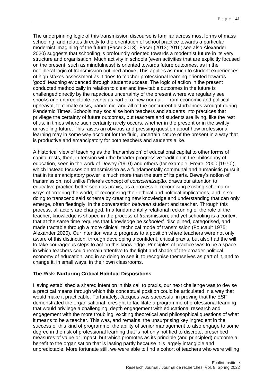The underpinning logic of this transmission discourse is familiar across most forms of mass schooling, and relates directly to the orientation of school practice towards a particular modernist imagining of the future (Facer 2013). Facer (2013; 2016; see also Alexander 2020) suggests that schooling is profoundly oriented towards a modernist future in its very structure and organisation. Much activity in schools (even activities that are explicitly focused on the present, such as mindfulness) is oriented towards future outcomes, as in the neoliberal logic of transmission outlined above. This applies as much to student experiences of high stakes assessment as it does to teacher professional learning oriented towards 'good' teaching evidenced through student success. The logic of action in the present conducted methodically in relation to clear and inevitable outcomes in the future is challenged directly by the rapacious uncertainty of the present where we regularly see shocks and unpredictable events as part of a 'new normal' – from economic and political upheaval, to climate crisis, pandemic, and all of the concurrent disturbances wrought during Pandemic Times. Schools may socialise both teachers and students into practices that privilege the certainty of future outcomes, but teachers and students are living, like the rest of us, in times where such certainty rarely occurs, whether in the present or in the swiftly unravelling future. This raises an obvious and pressing question about how professional learning may in some way account for the fluid, uncertain nature of the present in a way that is productive and emancipatory for both teachers and students alike.

A historical view of teaching as the 'transmission' of educational capital to other forms of capital rests, then, in tension with the broader progressive tradition in the philosophy of education, seen in the work of Dewey (1910) and others (for example, Freire, 2000 [1970]), which instead focuses on transmission as a fundamentally communal and humanistic pursuit that in its emancipatory power is much more than the sum of its parts. Dewey's notion of transmission, not unlike Friere's concept of *conscientização,* draws our attention to educative practice better seen as praxis, as a process of recognising existing schema or ways of ordering the world, of recognising their ethical and political implications, and in so doing to transcend said schema by creating new knowledge and understanding that can only emerge, often fleetingly, in the conversation *between* student and teacher. Through this process, all actors are changed. In a fundamentally relational reckoning of the role of the teacher, knowledge is shaped in the process of *trans*mission; and yet schooling is a context that at the same time requires that knowledge be *schooled,* disciplined, categorised, and made tractable through a more clinical, technical mode of transmission (Foucault 1975; Alexander 2020). Our intention was to progress to a position where teachers were not only aware of this distinction, through developing a confident, critical praxis, but also had the will to take courageous steps to act on this knowledge. Principles of practice was to be a space in which teachers could remain attentive to the light and shade of the broader political economy of education, and in so doing to see it, to recognise themselves as part of it, and to change it, in small ways, in their own classrooms.

#### **The Risk: Nurturing Critical Habitual Dispositions**

Having established a shared intention in this call to praxis, our next challenge was to devise a practical means through which this conceptual position could be articulated in a way that would make it practicable. Fortunately, Jacques was successful in proving that the ESF demonstrated the organisational foresight to facilitate a programme of professional learning that would privilege a challenging, depth engagement with educational research and engagement with the more troubling, exciting theoretical and philosophical questions of what it means to be a teacher. This was, and remains, the unsurprising key ingredient in the success of this kind of programme: the ability of senior management to also engage to some degree in the risk of professional learning that is not only not tied to discrete, prescribed measures of value or impact, but which promotes as its principle (and principled) outcome a benefit to the organisation that is lasting partly because it is largely intangible and unpredictable. More fortunate still, we were able to find a cohort of teachers who were willing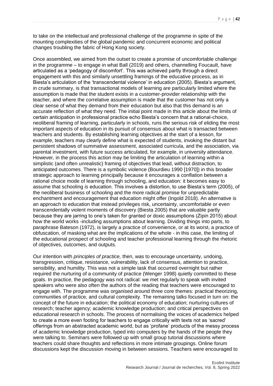to take on the intellectual and professional challenge of the programme in spite of the mounting complexities of the global pandemic and concurrent economic and political changes troubling the fabric of Hong Kong society.

Once assembled, we aimed from the outset to create a promise of uncomfortable challenge in the programme – to engage in what Ball (2019) and others, channelling Foucault, have articulated as a 'pedagogy of discomfort'. This was achieved partly through a direct engagement with this and similarly unsettling framings of the educative process, as in Biesta's articulation of the 'transcendental violence' in education (2005). Biesta's argument, in crude summary, is that transactional models of learning are particularly limited where the assumption is made that the student exists in a customer-provider relationship with the teacher, and where the correlative assumption is made that the customer has not only a clear sense of what they demand from their education but also that this demand is an accurate reflection of what they need. The initial point made in this article about the limits of certain anticipation in professional practice echo Biesta's concern that a rational-choice, neoliberal framing of learning, particularly in schools, runs the serious risk of eliding the most important aspects of education in its pursuit of consensus about what is transacted between teachers and students. By establishing learning objectives at the start of a lesson, for example, teachers may clearly define what is expected of students, invoking the distant but persistent shadows of summative assessment, associated curricula, and the association, via parental investment, with future success articulated, for example, in university attendance. However, in the process this action may be limiting the articulation of learning within a simplistic (and often unrealistic) framing of objectives that lead, without distraction, to anticipated outcomes. There is a symbolic violence (Bourdieu 1990 [1970]) in this broader strategic approach to learning principally because it encourages a conflation between a rational choice mode of learning through schooling, and education: it becomes easy to assume that schooling *is* education. This involves a distortion, to use Biesta's term (2005), of the neoliberal business of schooling and the more radical promise for unpredictable enchantment and encouragement that education might offer (Ingold 2018). An alternative is an approach to education that instead privileges risk, uncertainty, uncomfortable or even transcendentally violent moments of discovery (Biesta 2005) that are valuable partly because they are jarring to one's taken for granted or doxic assumptions (Zipin 2015) about how the world works -including assumptions about learning. Dividing things into parts, to paraphrase Bateson (1972), is largely a practice of convenience, or at its worst, a practice of obfuscation, of masking what are the implications of the whole - in this case, the limiting of the educational prospect of schooling and teacher professional learning through the rhetoric of objectives, outcomes, and outputs.

Our intention with *principles of practice,* then, was to encourage uncertainty, undoing, transgression, critique, resistance, vulnerability, lack of consensus, attention to practice, sensibility, and humility. This was not a simple task that occurred overnight but rather required the nurturing of a community of practice (Wenger 1998) quietly committed to these goals. In practice, the pedagogy was not radical: we met regularly to speak with invited speakers who were also often the authors of the reading that teachers were encouraged to engage with. The programme was organised around three core themes: practical theorizing, communities of practice, and cultural complexity. The remaining talks focused in turn on: the concept of the future in education; the political economy of education; nurturing cultures of research; teacher agency; academic knowledge production; and critical perspectives on educational research in schools. The process of normalising the voices of academics helped to create a more even footing for teachers to engage critically with texts not as 'sacred' offerings from an abstracted academic world, but as 'profane' products of the messy process of academic knowledge production, typed into computers by the hands of the people they were talking to. Seminars were followed up with small group tutorial discussions where teachers could share thoughts and reflections in more intimate groupings. Online forum discussions kept the discussion moving in between sessions. Teachers were encouraged to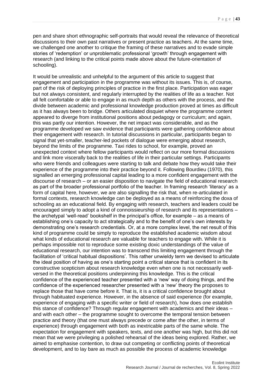pen and share short ethnographic self-portraits that would reveal the relevance of theoretical discussions to their own past narratives or present practice as teachers. At the same time, we challenged one another to critique the framing of these narratives and to evade simple stories of 'redemption' or unproblematic professional 'growth' through engagement with research (and linking to the critical points made above about the future-orientation of schooling).

It would be unrealistic and unhelpful to the argument of this article to suggest that engagement and participation in the programme was without its issues. This is, of course, part of the risk of deploying principles of practice in the first place. Participation was eager but not always consistent, and regularly interrupted by the realities of life as a teacher. Not all felt comfortable or able to engage in as much depth as others with the process, and the divide between academic and professional knowledge production proved at times as difficult as it has always been to bridge. Others articulated disquiet where the programme content appeared to diverge from institutional positions about pedagogy or curriculum; and again, this was partly our intention. However, the net impact was considerable, and as the programme developed we saw evidence that participants were gathering confidence about their engagement with research. In tutorial discussions in particular, participants began to signal that yet-smaller, teacher-led pockets of dialogue were emerging about research, beyond the limits of the programme. Taxi rides to school, for example, proved an unexpected context where fellow participants would reflect on our more formal discussions and link more viscerally back to the realities of life in their particular settings. Participants who were friends and colleagues were starting to talk and debate how they would take their experience of the programme into their practice beyond it. Following Bourdieu (1970), this signalled an emerging professional capital leading to a more confident engagement with the discourse of research – or an easier disposition to navigate the field of educational research as part of the broader professional portfolio of the teacher. In framing research 'literacy' as a form of capital here, however, we are also signalling the risk that, when re-articulated in formal contexts, research knowledge can be deployed as a means of reinforcing the doxa of schooling as an educational field. By engaging with research, teachers and leaders could be encouraged simply to adopt a kind of connoissieurship of research and its representations – the archetypal 'well-read' bookshelf in the principal's office, for example – as a means of establishing one's capacity to act strategically and to the benefit of one's own interests by demonstrating one's research credentials. Or, at a more complex level, the net result of this kind of programme could be simply to reproduce the established academic wisdom about what kinds of educational research are valuable for teachers to engage with. While it is perhaps impossible not to reproduce some existing doxic understandings of the value of educational research, our intention was to transcend this limiting engagement through the facilitation of 'critical habitual dispositions'. This rather unwieldy term we devised to articulate the ideal position of having as one's starting point a critical stance that is confident in its constructive scepticism about research knowledge even when one is not necessarily wellversed in the theoretical positions underpinning this knowledge. This is the critical confidence of the experienced teacher presented with a 'new' way of doing things, and the confidence of the experienced researcher presented with a 'new' theory the proposes to replace those that have come before it. That is, it is a critical confidence brought about through habituated experience. However, in the absence of said experience (for example, experience of engaging with a specific writer or field of research), how does one establish this stance of confidence? Through regular engagement with academics and their ideas – and with each other – the programme sought to overcome the temporal tension between practice and theory (that one must always precede or come after the other, in terms of experience) through engagement with both as inextricable parts of the same whole. The expectation for engagement with speakers, texts, and one another was high, but this did not mean that we were privileging a polished rehearsal of the ideas being explored. Rather, we aimed to emphasise contention, to draw out competing or conflicting points of theoretical development, and to lay bare as much as possible the process of academic knowledge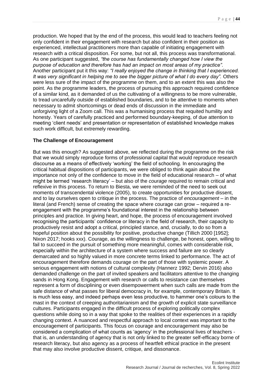production. We hoped that by the end of the process, this would lead to teachers feeling not only confident in their engagement with research but also confident in their position as experienced, intellectual practitioners more than capable of initiating engagement with research with a critical disposition. For some, but not all, this process was transformational. As one participant suggested, *"the course has fundamentally changed how I view the purpose of education and therefore has had an impact on most areas of my practice".* Another participant put it this way: *"I really enjoyed the change in thinking that I experienced. It was very significant in helping me to see the bigger picture of what I do every day".* Others were less sure of the impact of the programme on them, and to an extent this was also the point. As the programme leaders, the process of pursuing this approach required confidence of a similar kind, as it demanded of us the cultivating of a willingness to be more vulnerable, to tread uncarefully outside of established boundaries, and to be attentive to moments when necessary to admit shortcomings or dead ends of discussion in the immediate and unforgiving light of a Zoom call. This was a humanising process that requited humility and honesty. Years of carefully practiced and performed boundary-keeping, of due attention to meeting 'client needs' and presentation or representation of established knowledge makes such work difficult, but extremely rewarding.

#### **The Challenge of Encouragement**

But was this enough? As suggested above, we reflected during the programme on the risk that we would simply reproduce forms of professional capital that would reproduce research discourse as a means of effectively 'working' the field of schooling. In encouraging the critical habitual dispositions of participants, we were obliged to think again about the importance not only of the confidence to move in the field of educational research – of what might be termed 'research literacy' – but also of the *courage* required to remain critical and reflexive in this process. To return to Biesta, we were reminded of the need to seek out moments of transcendental violence (2005), to create opportunities for productive dissent, and to lay ourselves open to critique in the process. The practice of *encouragement* – in the literal (and French) sense of creating the space where courage can grow – required a reengagement with the programme's foundational interest in the relationship between principles and practice. In giving heart, and hope, the process of encouragement involved recognising the participants' confidence or literacy in the field of research, their capacity to productively resist and adopt a critical, principled stance, and, crucially, to do so from a hopeful position about the possibility for positive, productive change (Tillich 2000 [1952]; Nixon 2017; hooks xxx). Courage, as the willingness to challenge, be honest, open, willing to fail to succeed in the pursuit of something more meaningful, comes with considerable risk, especially within the architecture of a system where success and failure are so clearly demarcated and so highly valued in more concrete terms linked to performance. The act of encouragement therefore demands courage on the part of those with systemic power. A serious engagement with notions of cultural complexity (Hannerz 1992; Dervin 2016) also demanded challenge on the part of invited speakers and facilitators attentive to the changing sands in Hong Kong. Engagement with research or calls to resistance can themselves represent a form of disciplining or even disempowerment when such calls are made from the safe distance of what passes for liberal democracy in, for example, contemporary Britain. It is much less easy, and indeed perhaps even less productive, to hammer one's colours to the mast in the context of creeping authoritarianism and the growth of explicit state surveillance cultures. Participants engaged in the difficult process of exploring politically complex questions while doing so in a way that spoke to the realities of their experiences in a rapidly changing context. A nuanced and respectful approach to local context was important to the encouragement of participants. This focus on courage and encouragement may also be considered a complication of what counts as 'agency' in the professional lives of teachers that is, an understanding of agency that is not only linked to the greater self-efficacy borne of research literacy, but also agency as a process of heartfelt ethical practice in the present that may also involve productive dissent, critique, and dissonance.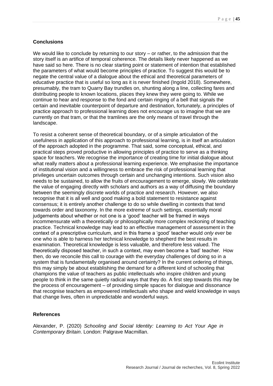#### **Conclusions**

We would like to conclude by returning to our story – or rather, to the admission that the story itself is an artifice of temporal coherence. The details likely never happened as we have said so here. There is no clear starting point or statement of intention that established the parameters of what would become principles of practice. To suggest this would be to negate the central value of a dialogue about the ethical and theoretical parameters of educative practice that is useful so long as it is never finished (Ingold 2018). Somewhere, presumably, the tram to Quarry Bay trundles on, shunting along a line, collecting fares and distributing people to known locations, places they knew they were going to. While we continue to hear and response to the fond and certain ringing of a bell that signals the certain and inevitable counterpoint of departure and destination, fortunately, a principles of practice approach to professional learning does not encourage us to imagine that we are currently on that tram, or that the tramlines are the only means of travel through the landscape.

To resist a coherent sense of theoretical boundary, or of a simple articulation of the usefulness in application of this approach to professional learning, is in itself an articulation of the approach adopted in the programme. That said, some conceptual, ethical, and practical steps proved productive in allowing principles of practice to serve as a thinking space for teachers. We recognise the importance of creating time for initial dialogue about what really matters about a professional learning experience. We emphasise the importance of institutional vision and a willingness to embrace the risk of professional learning that privileges uncertain outcomes through certain and unchanging intentions. Such vision also needs to be sustained, to allow the fruits of encouragement to emerge, slowly. We celebrate the value of engaging directly with scholars and authors as a way of diffusing the boundary between the seemingly discrete worlds of practice and research. However, we also recognise that it is all well and good making a bold statement to resistance against consensus; it is entirely another challenge to do so while dwelling in contexts that tend towards order and taxonomy. In the more extreme of such settings, essentially moral judgements about whether or not one is a 'good' teacher will be framed in ways incommensurate with a theoretically or philosophically more complex reckoning of teaching practice. Technical knowledge may lead to an effective management of assessment in the context of a prescriptive curriculum, and in this frame a 'good' teacher would *only ever* be one who is able to harness her technical knowledge to shepherd the best results in examination. Theoretical knowledge is less valuable, and therefore less valued. The theoretically disposed teacher, in such a context, may even become a 'bad' teacher. How then, do we reconcile this call to courage with the everyday challenges of doing so in a system that is fundamentally organised around certainty? In the current ordering of things, this may simply be about establishing the demand for a different kind of schooling that champions the value of teachers as public intellectuals who inspire children and young people to think in the same quietly radical ways that they do. A first step towards this may be the process of encouragement – of providing simple spaces for dialogue and dissonance that recognise teachers as empowered intellectuals who shape and wield knowledge in ways that change lives, often in unpredictable and wonderful ways.

#### **References**

Alexander, P. (2020) *Schooling and Social Identity: Learning to Act Your Age in Contemporary Britain*. London: Palgrave Macmillan.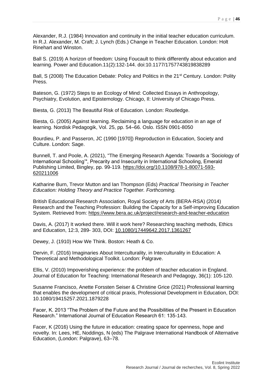Alexander, R.J. (1984) Innovation and continuity in the initial teacher education curriculum. In R.J. Alexander, M. Craft; J. Lynch (Eds.) Change in Teacher Education. London: Holt Rinehart and Winston.

Ball S. (2019) A horizon of freedom: Using Foucault to think differently about education and learning. Power and Education.11(2):132-144. doi:10.1177/1757743819838289

Ball, S (2008) The Education Debate: Policy and Politics in the 21<sup>st</sup> Century. London: Polity Press.

Bateson, G. (1972) Steps to an Ecology of Mind: Collected Essays in Anthropology, Psychiatry, Evolution, and Epistemology. Chicago, Il: University of Chicago Press.

Biesta, G. (2013) The Beautiful Risk of Education. London: Routledge.

Biesta, G. (2005) Against learning. Reclaiming a language for education in an age of learning. Nordisk Pedagogik, Vol. 25, pp. 54–66. Oslo. ISSN 0901-8050

Bourdieu, P. and Passeron, JC (1990 [1970]) Reproduction in Education, Society and Culture. London: Sage.

Bunnell, T. and Poole, A. (2021), "The Emerging Research Agenda: Towards a 'Sociology of International Schooling'", Precarity and Insecurity in International Schooling, Emerald Publishing Limited, Bingley, pp. 99-119. [https://doi.org/10.1108/978-1-80071-593-](https://doi.org/10.1108/978-1-80071-593-620211006) [620211006](https://doi.org/10.1108/978-1-80071-593-620211006)

Katharine Burn, Trevor Mutton and Ian Thompson (Eds) *Practical Theorising in Teacher Education: Holding Theory and Practice Together. Forthcoming.*

British Educational Research Association, Royal Society of Arts (BERA-RSA) (2014) Research and the Teaching Profession: Building the Capacity for a Self-improving Education System. Retrieved from:<https://www.bera.ac.uk/project/research-and-teacher-education>

Davis, A. (2017) It worked there. Will it work here? Researching teaching methods, Ethics and Education, 12:3, 289- 303, DOI: [10.1080/17449642.2017.1361267](https://doi.org/10.1080/17449642.2017.1361267)

Dewey, J. (1910) How We Think. Boston: Heath & Co.

Dervin, F. (2016) Imaginaries About Interculturality, in Interculturality in Education: A Theoretical and Methodological Toolkit. London: Palgrave.

Ellis, V. (2010) Impoverishing experience: the problem of teacher education in England. Journal of Education for Teaching: International Research and Pedagogy, 36(1): 105-120.

Susanne Francisco, Anette Forssten Seiser & Christine Grice (2021) Professional learning that enables the development of critical praxis, Professional Development in Education, DOI: 10.1080/19415257.2021.1879228

Facer, K. 2013 "The Problem of the Future and the Possibilities of the Present in Education Research." International Journal of Education Research 61: 135-143.

Facer, K (2016) Using the future in education: creating space for openness, hope and novelty. In: Lees, HE, Noddings, N (eds) The Palgrave International Handbook of Alternative Education, (London: Palgrave), 63–78.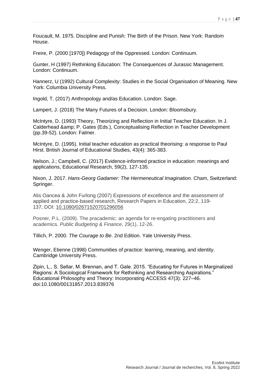Foucault, M. 1975. Discipline and Punish: The Birth of the Prison. New York: Random House.

Freire, P. (2000 [1970]) Pedagogy of the Oppressed. London: Continuum.

Gunter, H (1997) Rethinking Education: The Consequences of Jurassic Management. London: Continuum.

Hannerz, U (1992) Cultural Complexity: Studies in the Social Organisation of Meaning. New York: Columbia University Press.

Ingold, T. (2017) Anthropology and/as Education. London: Sage.

Lampert, J. (2018) The Many Futures of a Decision. London: Bloomsbury.

McIntyre, D. (1993) Theory, Theorizing and Reflection in Initial Teacher Education. In J. Calderhead & amp; P. Gates (Eds.), Conceptualising Reflection in Teacher Development (pp.39-52). London: Falmer.

McIntyre, D. (1995). Initial teacher education as practical theorising: a response to Paul Hirst. British Journal of Educational Studies, 43(4): 365-383.

Nelson, J.; Campbell, C. (2017) Evidence-informed practice in education: meanings and applications, Educational Research, 59(2), 127-135.

Nixon, J. 2017. *Hans-Georg Gadamer: The Hermeneutical Imagination.* Cham, Switzerland: Springer.

Alis Oancea & John Furlong (2007) Expressions of excellence and the assessment of applied and practice‐based research, Research Papers in Education, 22:2, 119- 137, DOI: [10.1080/02671520701296056](https://doi.org/10.1080/02671520701296056)

Posner, P.L. (2009). The pracademic: an agenda for re-engating practitioners and academics. *Public Budgeting & Finance*, 29(1), 12-26.

Tillich, P. 2000. *The Courage to Be*. 2nd Edition. Yale University Press.

Wenger, Etienne (1998) Communities of practice: learning, meaning, and identity. Cambridge University Press.

Zipin, L., S. Sellar, M. Brennan, and T. Gale. 2015. "Educating for Futures in Marginalized Regions: A Sociological Framework for Rethinking and Researching Aspirations." Educational Philosophy and Theory: Incorporating ACCESS 47(3): 227–46. doi:10.1080/00131857.2013.839376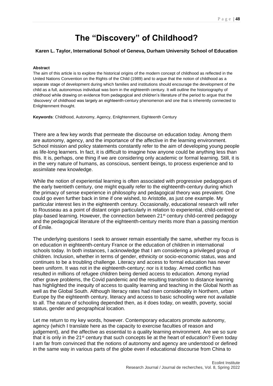## **The "Discovery" of Childhood?**

#### <span id="page-48-1"></span><span id="page-48-0"></span>**Karen L. Taylor, International School of Geneva, Durham University School of Education**

#### **Abstract**

The aim of this article is to explore the historical origins of the modern concept of childhood as reflected in the United Nations Convention on the Rights of the Child (1989) and to argue that the notion of childhood as a separate stage of development during which families and institutions should encourage the development of the child as a full, autonomous individual was born in the eighteenth century. It will outline the historiography of childhood while drawing on evidence from pedagogical and children's literature of the period to argue that the 'discovery' of childhood was largely an eighteenth-century phenomenon and one that is inherently connected to Enlightenment thought.

**Keywords**: Childhood, Autonomy, Agency, Enlightenment, Eighteenth Century

There are a few key words that permeate the discourse on education today. Among them are autonomy, agency, and the importance of the affective in the learning environment. School mission and policy statements constantly refer to the aim of developing young people as life-long learners. In fact, it is difficult to imagine how anyone could be anything less than this. It is, perhaps, one thing if we are considering only academic or formal learning. Still, it is in the very nature of humans, as conscious, sentient beings, to process experience and to assimilate new knowledge.

While the notion of experiential learning is often associated with progressive pedagogues of the early twentieth century, one might equally refer to the eighteenth-century during which the primacy of sense experience in philosophy and pedagogical theory was prevalent. One could go even further back in time if one wished, to Aristotle, as just one example. My particular interest lies in the eighteenth century. Occasionally, educational research will refer to Rousseau as a point of distant origin particularly in relation to experiential, child-centred or play-based learning. However, the connection between 21st century child-centred pedagogy and the pedagogical literature of the eighteenth-century merits more than a passing mention of Émile.

The underlying questions I seek to answer remain essentially the same, whether my focus is on education in eighteenth-century France or the education of children in international schools today. In both instances, I acknowledge that I am considering a privileged group of children. Inclusion, whether in terms of gender, ethnicity or socio-economic status, was and continues to be a troubling challenge. Literacy and access to formal education has never been uniform. It was not in the eighteenth-century; nor is it today. Armed conflict has resulted in millions of refugee children being denied access to education. Among myriad other grave problems, the Covid pandemic and the resulting transition to distance learning has highlighted the inequity of access to quality learning and teaching in the Global North as well as the Global South. Although literacy rates had risen considerably in Northern, urban Europe by the eighteenth century, literacy and access to basic schooling were not available to all. The nature of schooling depended then, as it does today, on wealth, poverty, social status, gender and geographical location.

Let me return to my key words, however. Contemporary educators promote autonomy, agency (which I translate here as the capacity to exercise faculties of reason and judgement), and the affective as essential to a quality learning environment. Are we so sure that it is only in the  $21<sup>st</sup>$  century that such concepts lie at the heart of education? Even today I am far from convinced that the notions of autonomy and agency are understood or defined in the same way in various parts of the globe even if educational discourse from China to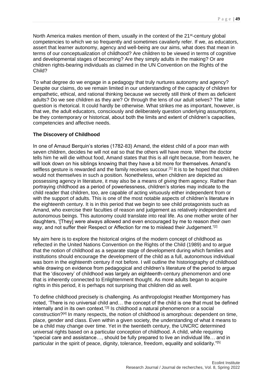North America makes mention of them, usually in the context of the  $21<sup>st</sup>$ -century global competencies to which we so frequently and sometimes cavalierly refer. If we, as educators, assert that learner autonomy, agency and well-being are our aims, what does that mean in terms of our conceptualization of childhood? Are children to be viewed in terms of cognitive and developmental stages of becoming? Are they simply adults in the making? Or are children rights-bearing individuals as claimed in the UN Convention on the Rights of the Child?

To what degree do we engage in a pedagogy that truly nurtures autonomy and agency? Despite our claims, do we remain limited in our understanding of the capacity of children for empathetic, ethical, and rational thinking because we secretly still think of them as deficient adults? Do we see children as they are? Or through the lens of our adult selves? The latter question is rhetorical. It could hardly be otherwise. What strikes me as important, however, is that we, the adult educators, consciously and deliberately question underlying assumptions, be they contemporary or historical, about both the limits and extent of children's capacities, competencies and affective needs.

#### **The Discovery of Childhood**

In one of Arnaud Berquin's stories (1782-83) Amand, the eldest child of a poor man with seven children, decides he will not eat so that the others will have more. When the doctor tells him he will die without food, Amand states that this is all right because, from heaven, he will look down on his siblings knowing that they have a bit more for themselves. Amand's selfless gesture is rewarded and the family receives succour.<sup>[1]</sup> It is to be hoped that children would not themselves in such a position. Nonetheless, when children are depicted as possessing agency in literature, it may also be a means of *giving* them agency. Rather than portraying childhood as a period of powerlessness, children's stories may indicate to the child reader that children, too, are capable of acting virtuously either independent from or with the support of adults. This is one of the most notable aspects of children's literature in the eighteenth century. It is in this period that we begin to see child protagonists such as Amand, who exercise their faculties of reason and judgement as relatively independent and autonomous beings. This autonomy could translate into real life. As one mother wrote of her daughters, '[They] were always allowed and even encouraged by me to reason *their own way*, and not suffer their Respect or Affection for me to mislead their Judgement.<sup>'[2]</sup>

My aim here is to explore the historical origins of the modern concept of childhood as reflected in the United Nations Convention on the Rights of the Child (1989) and to argue that the notion of childhood as a separate stage of development during which families and institutions should encourage the development of the child as a full, autonomous individual was born in the eighteenth century if not before. I will outline the historiography of childhood while drawing on evidence from pedagogical and children's literature of the period to argue that the 'discovery' of childhood was largely an eighteenth-century phenomenon and one that is inherently connected to Enlightenment thought. As more adults began to acquire rights in this period, it is perhaps not surprising that children did as well.

To define childhood precisely is challenging. As anthropologist Heather Montgomery has noted, 'There is no universal child and… the concept of the child is one that must be defined internally and in its own context.<sup>'[3]</sup> Is childhood a natural phenomenon or a social construction?[4] In many respects, the notion of childhood is amorphous: dependent on time, place, gender and class. Even within a given society, the understanding of what it means to be a child may change over time. Yet in the twentieth century, the UNCRC determined universal rights based on a particular conception of childhood. A child, while requiring "special care and assistance…, should be fully prepared to live an individual life… and in particular in the spirit of peace, dignity, tolerance, freedom, equality and solidarity."[5]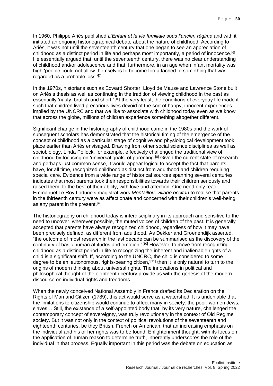In 1960, Philippe Ariès published *L'Enfant et la vie familiale sous l'ancien régime* and with it initiated an ongoing historiographical debate about the nature of childhood. According to Ariès, it was not until the seventeenth century that one began to see an appreciation of childhood as a distinct period in life and perhaps most importantly, a period of innocence.<sup>[6]</sup> He essentially argued that, until the seventeenth century, there was no clear understanding of childhood and/or adolescence and that, furthermore, in an age when infant mortality was high 'people could not allow themselves to become too attached to something that was regarded as a probable loss.<sup>'[7]</sup>

In the 1970s, historians such as Edward Shorter, Lloyd de Mause and Lawrence Stone built on Ariès's thesis as well as continuing in the tradition of viewing childhood in the past as essentially 'nasty, brutish and short.' At the very least, the conditions of everyday life made it such that children lived precarious lives devoid of the sort of happy, innocent experiences implied by the UNCRC and that we like to associate with childhood today even as we know that across the globe, millions of children experience something altogether different.

Significant change in the historiography of childhood came in the 1980s and the work of subsequent scholars has demonstrated that the historical timing of the emergence of the concept of childhood as a particular stage of cognitive and physiological development took place earlier than Ariès envisaged. Drawing from other social science disciplines as well as sociobiology, Linda Pollock, for example, effectively challenged the traditional view of childhood by focusing on 'universal goals' of parenting.[8] Given the current state of research and perhaps just common sense, it would appear logical to accept the fact that parents have, for all time, recognized childhood as distinct from adulthood and children requiring special care. Evidence from a wide range of historical sources spanning several centuries indicates that most parents took their responsibilities towards their children seriously and raised them, to the best of their ability, with love and affection. One need only read Emmanuel Le Roy Ladurie's magistral work *Montaillou, village occitan* to realise that parents in the thirteenth century were as affectionate and concerned with their children's well-being as any parent in the present.[9]

The historiography on childhood today is interdisciplinary in its approach and sensitive to the need to uncover, wherever possible, the muted voices of children of the past. It is generally accepted that parents have always recognized childhood, regardless of how it may have been precisely defined, as different from adulthood. As Dekker and Groenendijk asserted, "the outcome of most research in the last decade can be summarised as the discovery of the continuity of basic human attitudes and emotion."[10] However, to move from recognizing childhood as a distinct period in life to recognizing the inherent and inalienable rights of a child is a significant shift. If, according to the UNCRC, the child is considered to some degree to be an 'autonomous, rights-bearing citizen,<sup>'[11]</sup> then it is only natural to turn to the origins of modern thinking about universal rights. The innovations in political and philosophical thought of the eighteenth century provide us with the genesis of the modern discourse on individual rights and freedoms.

When the newly conceived National Assembly in France drafted its Declaration on the Rights of Man and Citizen (1789), this act would serve as a watershed. It is undeniable that the limitations to citizenship would continue to affect many in society: the poor, women Jews, slaves… Still, the existence of a self-appointed body that, by its very nature, challenged the contemporary concept of sovereignty, was truly revolutionary in the context of Old Regime society. But it was not only in the context of political revolutions of the seventeenth and eighteenth centuries, be they British, French or American, that an increasing emphasis on the individual and his or her rights was to be found. Enlightenment thought, with its focus on the application of human reason to determine truth, inherently underscores the role of the individual in that process. Equally important in this period was the debate on education as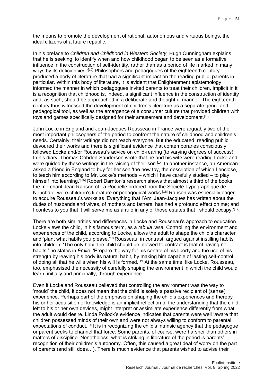the means to promote the development of rational, autonomous and virtuous beings, the ideal citizens of a future republic.

In his preface to *Children and Childhood in Western Society,* Hugh Cunningham explains that he is seeking 'to identify when and how childhood began to be seen as a formative influence in the construction of self-identity, rather than as a period of life marked in many ways by its deficiencies.<sup>'[12]</sup> Philosophers and pedagogues of the eighteenth century produced a body of literature that had a significant impact on the reading public, parents in particular. Within this body of literature, it is evident that Enlightenment epistemology informed the manner in which pedagogues invited parents to treat their children. Implicit in it is a recognition that childhood is, indeed, a significant influence in the construction of identity and, as such, should be approached in a deliberate and thoughtful manner. The eighteenth century thus witnessed the development of children's literature as a separate genre and pedagogical tool, as well as the emergence of a consumer culture that provided children with toys and games specifically designed for their amusement and development.[13]

John Locke in England and Jean-Jacques Rousseau in France were arguably two of the most important philosophers of the period to confront the nature of childhood and children's needs. Certainly, their writings did not reach everyone. But the educated, reading public devoured their works and there is significant evidence that contemporaries consciously followed Locke and/or Rousseau's advice on child-rearing (to varying degrees of success). In his diary, Thomas Cobden-Sanderson wrote that he and his wife were reading Locke and were guided by these writings in the raising of their son.<sup>[14]</sup> In another instance, an American asked a friend in England to buy for her son 'the new toy, the description of which I enclose, to teach him according to Mr. Locke's methods – which I have carefully studied – to play himself into learning.<sup>'[15]</sup> Robert Darnton's research shows that almost a third of the books the merchant Jean Ranson of La Rochelle ordered from the Société Typographique de Neuchâtel were children's literature or pedagogical works.[16] Ranson was especially eager to acquire Rousseau's works as 'Everything that l'Ami Jean-Jacques has written about the duties of husbands and wives, of mothers and fathers, has had a profound effect on me; and I confess to you that it will serve me as a rule in any of those estates that I should occupy.'[17]

There are both similarities and differences in Locke and Rousseau's approach to education. Locke views the child, in his famous term, as a *tabula rasa.* Controlling the environment and experiences of the child, according to Locke, allows the adult to shape the child's character and 'plant what habits you please.<sup>718</sup> Rousseau, in contrast, argued against instilling habits into children: 'The only habit the child should be allowed to contract is that of having no habits,' he states in *Émile*. 'Prepare the way for his control of his liberty and the use of his strength by leaving his body its natural habit, by making him capable of lasting self-control, of doing all that he wills when his will is formed.'<sup>19</sup> At the same time, like Locke, Rousseau, too, emphasised the necessity of carefully shaping the environment in which the child would learn, initially and principally, through experience.

Even if Locke and Rousseau believed that controlling the environment was the way to 'mould' the child, it does not mean that the child is solely a passive recipient of (sense) experience. Perhaps part of the emphasis on shaping the child's experiences and thereby his or her acquisition of knowledge is an implicit reflection of the understanding that the child, left to his or her own devices, might interpret or assimilate experience differently from what the adult would desire. Linda Pollock's evidence indicates that parents were well 'aware that children possessed minds of their own and were not always willing to conform to parental expectations of conduct.<sup>'20</sup> It is in recognizing the child's intrinsic agency that the pedagogue or parent seeks to channel that force. Some parents, of course, were harsher than others in matters of discipline. Nonetheless, what is striking in literature of the period is parents' recognition of their children's autonomy. Often, this caused a great deal of worry on the part of parents (and still does…). There is much evidence that parents wished to advise their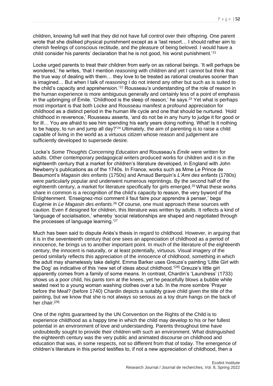children, knowing full well that they did not have full control over their offspring. One parent wrote that she disliked physical punishment except as a 'last resort… I should rather aim to cherish feelings of conscious rectitude, and the pleasure of being beloved. I would have a child consider his parents' declaration that he is not good, his worst punishment.'<sup>21</sup>

Locke urged parents to treat their children from early on as rational beings. 'It will perhaps be wondered,' he writes, 'that I mention *reasoning* with children and yet I cannot but think that the true way of dealing with them… they love to be treated as rational creatures sooner than is imagined… But when I talk of *reasoning* I do not intend any other but such as is suited to the child's capacity and apprehension.'<sup>22</sup> Rousseau's understanding of the role of reason in the human experience is more ambiguous generally and certainly less of a point of emphasis in the upbringing of Émile. 'Childhood is the sleep of reason,' he says.<sup>23</sup> Yet what is perhaps most important is that both Locke and Rousseau manifest a profound appreciation for childhood as a distinct period in the human life cycle and one that should be nurtured. 'Hold childhood in reverence,' Rousseau asserts, 'and do not be in any hurry to judge it for good or for ill… You are afraid to see him spending his early years doing nothing. What! Is it nothing to be happy, to run and jump all day?'<sup>24</sup> Ultimately, the aim of parenting is to raise a child capable of living in the world as a virtuous citizen whose reason and judgement are sufficiently developed to supersede desire.

Locke's *Some Thoughts Concerning Education* and Rousseau's *Émile* were written for adults. Other contemporary pedagogical writers produced works for children and it is in the eighteenth century that a market for children's literature developed, in England with John Newberry's publications as of the 1740s. In France, works such as Mme Le Prince de Beaumont's *Magasin des enfants* (1750s) and Arnaud Berquin's *L'Ami des enfants* (1780s) were particularly popular and underwent numerous reprintings. By the second half of the eighteenth century, a market for literature specifically for girls emerged.<sup>25</sup>What these works share in common is a recognition of the child's capacity to reason, the very byword of the Enlightenment. 'Enseignez-moi comment il faut faire pour apprendre à penser,' begs Eugénie in *Le Magasin des enfants.*<sup>26</sup> Of course, one must approach these sources with caution. Even if designed for children, this literature was written by adults. It reflects a kind of 'language of socialisation,' whereby 'social relationships are shaped and negotiated through the processes of language learning.'<sup>27</sup>

Much has been said to dispute Ariès's thesis in regard to childhood. However, in arguing that it is in the seventeenth century that one sees an appreciation of childhood as a period of innocence, he brings us to another important point. In much of the literature of the eighteenth century, the innocent is naturally, or at least potentially, virtuous. Visual imagery of the period similarly reflects this appreciation of the innocence of childhood, something in which the adult may shamelessly take delight. Emma Barker uses Greuze's painting 'Little Girl with the Dog' as indicative of this 'new set of ideas about childhood.'<sup>[28]</sup> Greuze's little girl apparently comes from a family of some means. In contrast, Chardin's 'Laundress' (1733) shows us a poor child, his pants torn at the knees, yet he peacefully blows a bubble while seated next to a young woman washing clothes over a tub. In the more sombre 'Prayer before the Meal? (before 1740) Chardin depicts a suitably grave child given the title of the painting, but we know that she is not always so serious as a toy drum hangs on the back of her chair.[29]

One of the rights guaranteed by the UN Convention on the Rights of the Child is to experience childhood as a happy time in which the child may develop to his or her fullest potential in an environment of love and understanding. Parents throughout time have undoubtedly sought to provide their children with such an environment. What distinguished the eighteenth century was the very public and animated discourse on childhood and education that was, in some respects, not so different from that of today. The emergence of children's literature in this period testifies to, if not a new appreciation of childhood, then a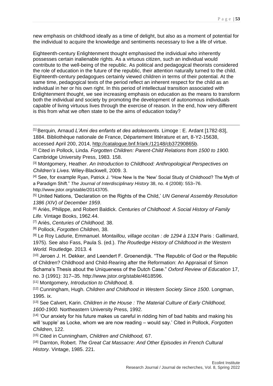new emphasis on childhood ideally as a time of delight, but also as a moment of potential for the individual to acquire the knowledge and sentiments necessary to live a life of virtue.

Eighteenth-century Enlightenment thought emphasised the individual who inherently possesses certain inalienable rights. As a virtuous citizen, such an individual would contribute to the well-being of the republic. As political and pedagogical theorists considered the role of education in the future of the republic, their attention naturally turned to the child. Eighteenth-century pedagogues certainly viewed children in terms of their potential. At the same time, pedagogical texts of the period reflect an inherent respect for the child as an individual in her or his own right. In this period of intellectual transition associated with Enlightenment thought, we see increasing emphasis on education as the means to transform both the individual and society by promoting the development of autonomous individuals capable of living virtuous lives through the exercise of reason. In the end, how very different is this from what we often state to be the aims of education today?

[1] Berquin, Arnaud *L'Ami des enfants et des adolescents.* Limoge : E. Ardant [1782-83], 1884. Bibliothèque nationale de France, Département littérature et art, 8-Y2-15638,

accessed April 200, 2014, [http://catalogue.bnf.fr/ark:/12148/cb37290865b.](http://catalogue.bnf.fr/ark:/12148/cb37290865b)

[2] Cited in Pollock, Linda. *Forgotten Children: Parent-Child Relations from 1500 to 1900.*  Cambridge University Press, 1983. 158.

[3] Montgomery, Heather. *An Introduction to Childhood: Anthropological Perspectives on Children's Lives*. Wiley-Blackwell, 2009. 3.

[4] See, for example Ryan, Patrick J. "How New Is the 'New' Social Study of Childhood? The Myth of a Paradigm Shift." *The Journal of Interdisciplinary History* 38, no. 4 (2008): 553–76. http://www.jstor.org/stable/20143705.

[5] United Nations, 'Declaration on the Rights of the Child,' *UN General Assembly Resolution 1386 (XIV) of December 1959*.

[6] Ariès, Philippe, and Robert Baldick. *Centuries of Childhood: A Social History of Family Life*. Vintage Books, 1962.44.

[7] Ariès, *Centuries of Childhood,* 38.

[8] Pollock, *Forgotten Children,* 38.

[9] Le Roy Ladurie, Emmanuel. *Montaillou, village occitan : de 1294 à 1324* Paris : Gallimard, 1975). See also Fass, Paula S. (ed.). *The Routledge History of Childhood in the Western World.* Routledge. 2013. 4

[10] Jeroen J. H. Dekker, and Leendert F. Groenendijk. "The Republic of God or the Republic of Children? Childhood and Child-Rearing after the Reformation: An Appraisal of Simon Schama's Thesis about the Uniqueness of the Dutch Case." *Oxford Review of Education* 17, no. 3 (1991): 317–35. http://www.jstor.org/stable/4618596.

[11] Montgomery, *Introduction to Childhood,* 8.

[12] Cunningham, Hugh. *Children and Childhood in Western Society Since 1500*. Longman, 1995. ix.

[13] See Calvert, Karin. *Children in the House : The Material Culture of Early Childhood, 1600-1900.* Northeastern University Press, 1992.

[14] 'Our anxiety for his future makes us careful in ridding him of bad habits and making his will 'supple' as Locke, whom we are now reading – would say.' Cited in Pollock, *Forgotten Children*, 122.

[15] Cited in Cunningham, *Children and Childhood,* 67.

[16] Darnton, Robert. *The Great Cat Massacre: And Other Episodes in French Cultural History.* Vintage, 1985. 221.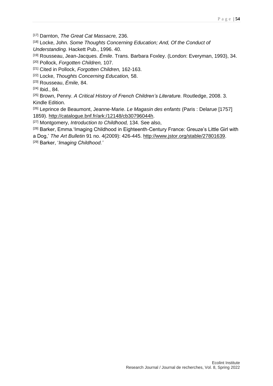[17] Darnton, *The Great Cat Massacre,* 236.

[18] Locke, John. Some Thoughts Concerning Education; And, Of the Conduct of

*Understanding.* Hackett Pub., 1996. 40.

[19] Rousseau, Jean-Jacques. *Émile*. Trans. Barbara Foxley. (London: Everyman, 1993), 34.

[20] Pollock, *Forgotten Children,* 107.

[21] Cited in Pollock, *Forgotten Children,* 162-163.

[22] Locke, *Thoughts Concerning Education,* 58.

[23] Rousseau, *Émile,* 84.

[24] Ibid., 84.

[25] Brown, Penny. A Critical History of French Children's Literature. Routledge, 2008. 3. Kindle Edition.

[26] Leprince de Beaumont, Jeanne-Marie. *Le Magasin des enfants* (Paris : Delarue [1757] 1859). [http://catalogue.bnf.fr/ark:/12148/cb30796044h.](http://catalogue.bnf.fr/ark:/12148/cb30796044h)

[27] Montgomery, *Introduction to Childhood,* 134. See also,

[28] Barker, Emma. 'Imaging Childhood in Eighteenth-Century France: Greuze's Little Girl with a Dog,' *The Art Bulletin* 91 no. 4(2009): 426-445. [http://www.jstor.org/stable/27801639.](http://www.jstor.org/stable/27801639) [29] Barker, '*Imaging Childhood.'*